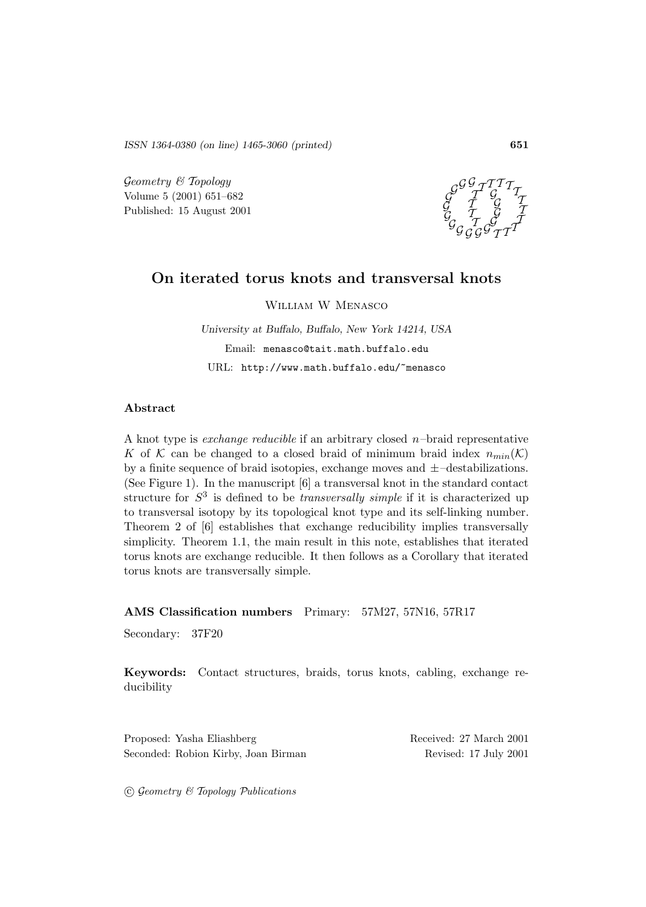*ISSN 1364-0380 (on line) 1465-3060 (printed)* **651**

 $Geometry \& Topology$ Volume 5 (2001) 651–682 Published: 15 August 2001



## **On iterated torus knots and transversal knots**

William W Menasco

*University at Buffalo, Buffalo, New York 14214, USA* Email: menasco@tait.math.buffalo.edu URL: http://www.math.buffalo.edu/~menasco

### **Abstract**

A knot type is *exchange reducible* if an arbitrary closed  $n$ -braid representative K of K can be changed to a closed braid of minimum braid index  $n_{min}(\mathcal{K})$ by a finite sequence of braid isotopies, exchange moves and  $\pm$ –destabilizations. (See Figure 1). In the manuscript [6] a transversal knot in the standard contact structure for  $S<sup>3</sup>$  is defined to be *transversally simple* if it is characterized up to transversal isotopy by its topological knot type and its self-linking number. Theorem 2 of [6] establishes that exchange reducibility implies transversally simplicity. Theorem 1.1, the main result in this note, establishes that iterated torus knots are exchange reducible. It then follows as a Corollary that iterated torus knots are transversally simple.

**AMS Classification numbers** Primary: 57M27, 57N16, 57R17

Secondary: 37F20

**Keywords:** Contact structures, braids, torus knots, cabling, exchange reducibility

Proposed: Yasha Eliashberg Received: 27 March 2001 Seconded: Robion Kirby, Joan Birman Revised: 17 July 2001

 $\odot$  Geometry & Topology Publications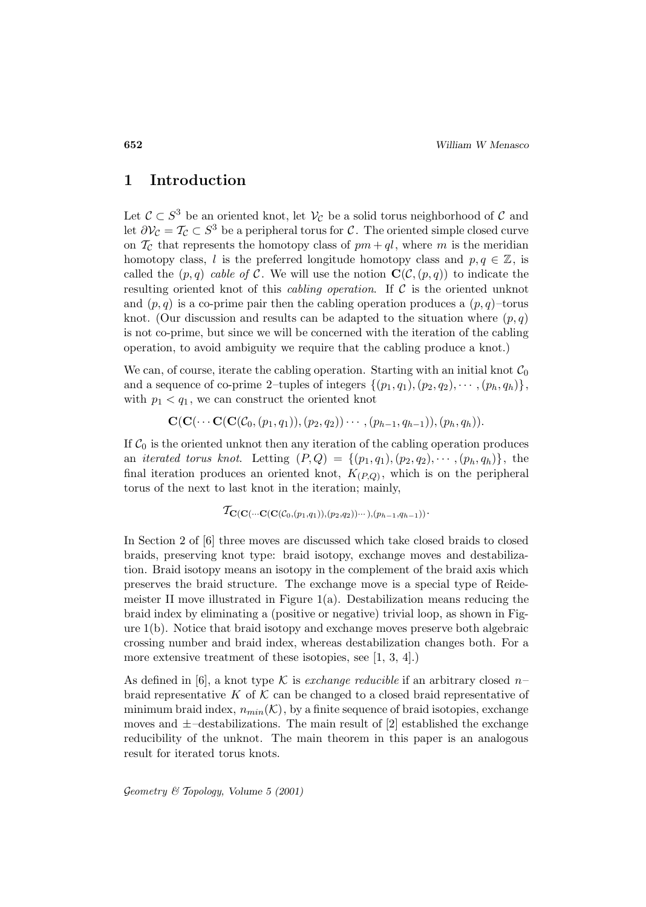## **1 Introduction**

Let  $\mathcal{C} \subset S^3$  be an oriented knot, let  $\mathcal{V}_{\mathcal{C}}$  be a solid torus neighborhood of  $\mathcal{C}$  and let  $\partial \mathcal{V}_{\mathcal{C}} = \mathcal{T}_{\mathcal{C}} \subset S^3$  be a peripheral torus for C. The oriented simple closed curve on  $\mathcal{T}_{\mathcal{C}}$  that represents the homotopy class of  $pm + qt$ , where m is the meridian homotopy class, l is the preferred longitude homotopy class and  $p, q \in \mathbb{Z}$ , is called the  $(p, q)$  cable of C. We will use the notion  $\mathbf{C}(\mathcal{C}, (p,q))$  to indicate the resulting oriented knot of this *cabling operation*. If  $C$  is the oriented unknot and  $(p, q)$  is a co-prime pair then the cabling operation produces a  $(p, q)$ -torus knot. (Our discussion and results can be adapted to the situation where  $(p, q)$ is not co-prime, but since we will be concerned with the iteration of the cabling operation, to avoid ambiguity we require that the cabling produce a knot.)

We can, of course, iterate the cabling operation. Starting with an initial knot  $C_0$ and a sequence of co-prime 2–tuples of integers  $\{(p_1, q_1), (p_2, q_2), \cdots, (p_h, q_h)\},\$ with  $p_1 < q_1$ , we can construct the oriented knot

$$
\mathbf{C}(\mathbf{C}(\cdots\mathbf{C}(\mathbf{C}(\mathcal{C}_0,(p_1,q_1)),(p_2,q_2))\cdots,(p_{h-1},q_{h-1})),(p_h,q_h)).
$$

If  $C_0$  is the oriented unknot then any iteration of the cabling operation produces an *iterated torus knot.* Letting  $(P,Q) = \{(p_1,q_1), (p_2,q_2), \cdots, (p_h,q_h)\}\$ , the final iteration produces an oriented knot,  $K_{(P,Q)}$ , which is on the peripheral torus of the next to last knot in the iteration; mainly,

$$
\mathcal{T}_{\mathbf{C}(\mathbf{C}(\cdots\mathbf{C}(\mathbf{C}(\mathcal{C}_0,(p_1,q_1)),(p_2,q_2))\cdots),(p_{h-1},q_{h-1}))}.
$$

In Section 2 of [6] three moves are discussed which take closed braids to closed braids, preserving knot type: braid isotopy, exchange moves and destabilization. Braid isotopy means an isotopy in the complement of the braid axis which preserves the braid structure. The exchange move is a special type of Reidemeister II move illustrated in Figure  $1(a)$ . Destabilization means reducing the braid index by eliminating a (positive or negative) trivial loop, as shown in Figure 1(b). Notice that braid isotopy and exchange moves preserve both algebraic crossing number and braid index, whereas destabilization changes both. For a more extensive treatment of these isotopies, see [1, 3, 4].)

As defined in [6], a knot type K is exchange reducible if an arbitrary closed  $n$ braid representative K of K can be changed to a closed braid representative of minimum braid index,  $n_{min}(\mathcal{K})$ , by a finite sequence of braid isotopies, exchange moves and  $\pm$ -destabilizations. The main result of [2] established the exchange reducibility of the unknot. The main theorem in this paper is an analogous result for iterated torus knots.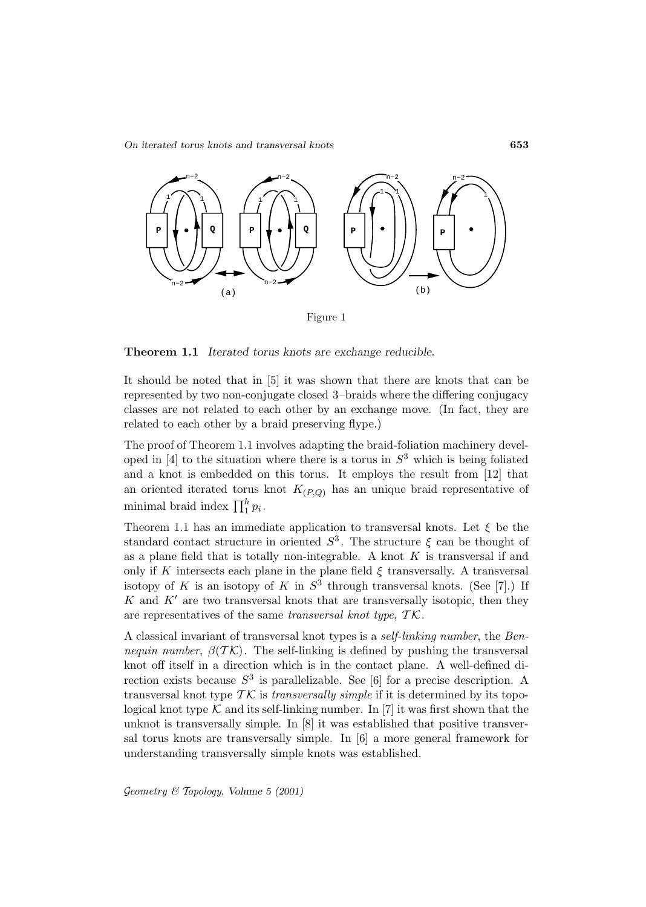*On iterated torus knots and transversal knots* **653**



Figure 1

**Theorem 1.1** *Iterated torus knots are exchange reducible.*

It should be noted that in [5] it was shown that there are knots that can be represented by two non-conjugate closed 3–braids where the differing conjugacy classes are not related to each other by an exchange move. (In fact, they are related to each other by a braid preserving flype.)

The proof of Theorem 1.1 involves adapting the braid-foliation machinery developed in [4] to the situation where there is a torus in  $S<sup>3</sup>$  which is being foliated and a knot is embedded on this torus. It employs the result from [12] that an oriented iterated torus knot  $K_{(P,Q)}$  has an unique braid representative of minimal braid index  $\prod_1^h p_i$ .

Theorem 1.1 has an immediate application to transversal knots. Let  $\xi$  be the standard contact structure in oriented  $S^3$ . The structure  $\xi$  can be thought of as a plane field that is totally non-integrable. A knot  $K$  is transversal if and only if K intersects each plane in the plane field  $\xi$  transversally. A transversal isotopy of K is an isotopy of K in  $S^3$  through transversal knots. (See [7].) If K and  $K'$  are two transversal knots that are transversally isotopic, then they are representatives of the same transversal knot type,  $TK$ .

A classical invariant of transversal knot types is a self-linking number, the Bennequin number,  $\beta(T\mathcal{K})$ . The self-linking is defined by pushing the transversal knot off itself in a direction which is in the contact plane. A well-defined direction exists because  $S^3$  is parallelizable. See [6] for a precise description. A transversal knot type  $\mathcal{TK}$  is transversally simple if it is determined by its topological knot type  $K$  and its self-linking number. In [7] it was first shown that the unknot is transversally simple. In [8] it was established that positive transversal torus knots are transversally simple. In [6] a more general framework for understanding transversally simple knots was established.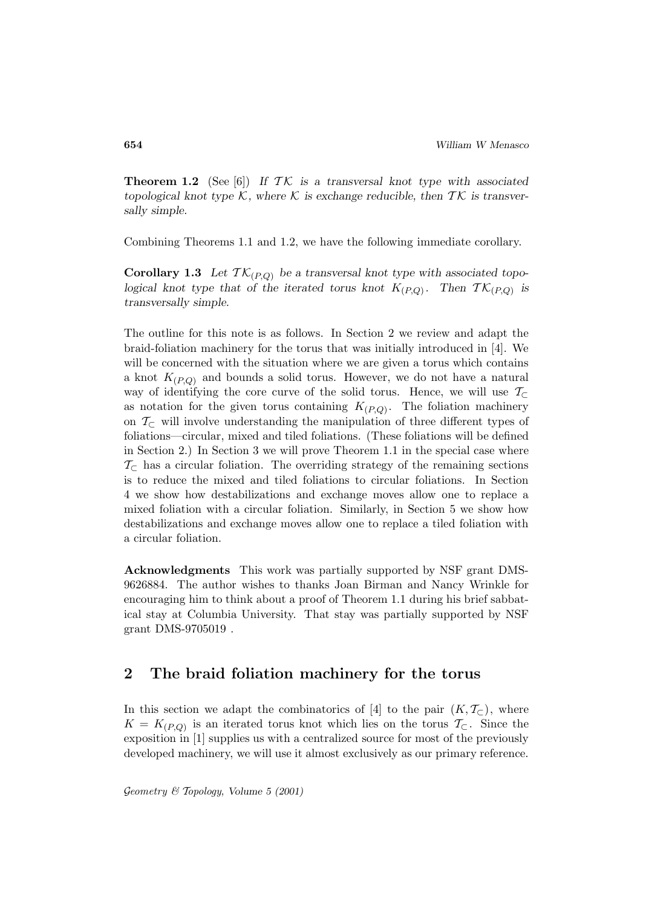**Theorem 1.2** (See [6]) If  $TK$  is a transversal knot type with associated *topological knot type*  $K$ , where  $K$  *is exchange reducible, then*  $TK$  *is transversally simple.*

Combining Theorems 1.1 and 1.2, we have the following immediate corollary.

**Corollary 1.3** Let  $TK_{(P,Q)}$  be a transversal knot type with associated topo*logical knot type that of the iterated torus knot*  $K_{(P,Q)}$ . Then  $\mathcal{TK}_{(P,Q)}$  *is transversally simple.*

The outline for this note is as follows. In Section 2 we review and adapt the braid-foliation machinery for the torus that was initially introduced in [4]. We will be concerned with the situation where we are given a torus which contains a knot  $K_{(P,Q)}$  and bounds a solid torus. However, we do not have a natural way of identifying the core curve of the solid torus. Hence, we will use  $\mathcal{T}_{\subset}$ as notation for the given torus containing  $K_{(P,Q)}$ . The foliation machinery on  $\mathcal{T}_{\subset}$  will involve understanding the manipulation of three different types of foliations—circular, mixed and tiled foliations. (These foliations will be defined in Section 2.) In Section 3 we will prove Theorem 1.1 in the special case where  $\mathcal{T}_{\subset}$  has a circular foliation. The overriding strategy of the remaining sections is to reduce the mixed and tiled foliations to circular foliations. In Section 4 we show how destabilizations and exchange moves allow one to replace a mixed foliation with a circular foliation. Similarly, in Section 5 we show how destabilizations and exchange moves allow one to replace a tiled foliation with a circular foliation.

**Acknowledgments** This work was partially supported by NSF grant DMS-9626884. The author wishes to thanks Joan Birman and Nancy Wrinkle for encouraging him to think about a proof of Theorem 1.1 during his brief sabbatical stay at Columbia University. That stay was partially supported by NSF grant DMS-9705019 .

## **2 The braid foliation machinery for the torus**

In this section we adapt the combinatorics of [4] to the pair  $(K, \mathcal{T}_{\subset})$ , where  $K = K_{(P,Q)}$  is an iterated torus knot which lies on the torus  $\mathcal{T}_{\subset}$ . Since the exposition in [1] supplies us with a centralized source for most of the previously developed machinery, we will use it almost exclusively as our primary reference.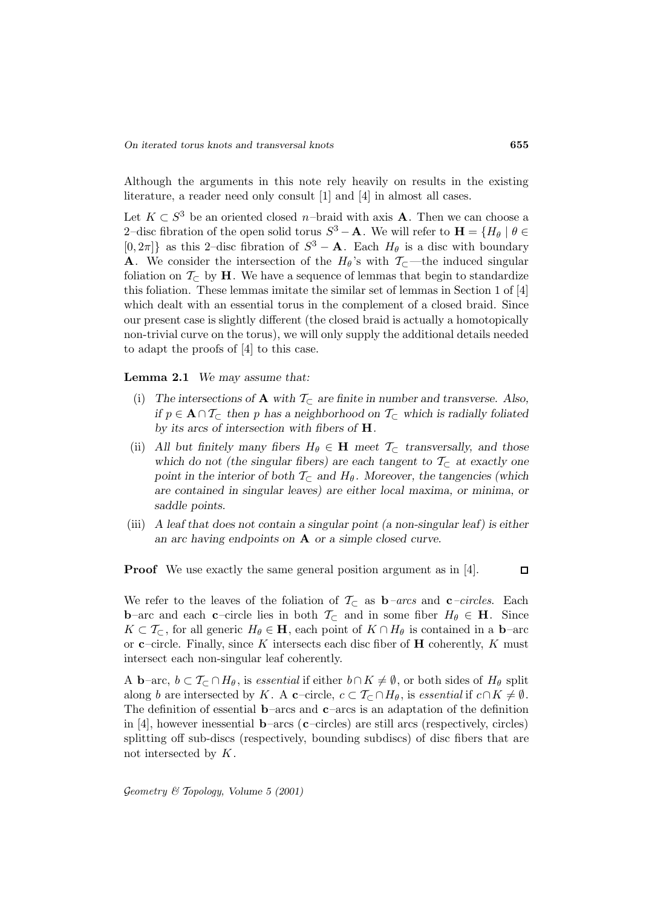Although the arguments in this note rely heavily on results in the existing literature, a reader need only consult [1] and [4] in almost all cases.

Let  $K \subset S^3$  be an oriented closed n–braid with axis **A**. Then we can choose a 2–disc fibration of the open solid torus  $S^3 - A$ . We will refer to  $H = \{H_\theta | \theta \in$  $[0, 2\pi]$  as this 2–disc fibration of  $S^3 - A$ . Each  $H_\theta$  is a disc with boundary **A**. We consider the intersection of the  $H_{\theta}$ 's with  $\mathcal{T}_{\subseteq}$ —the induced singular foliation on  $\mathcal{T}_{\subset}$  by **H**. We have a sequence of lemmas that begin to standardize this foliation. These lemmas imitate the similar set of lemmas in Section 1 of [4] which dealt with an essential torus in the complement of a closed braid. Since our present case is slightly different (the closed braid is actually a homotopically non-trivial curve on the torus), we will only supply the additional details needed to adapt the proofs of [4] to this case.

**Lemma 2.1** *We may assume that:*

- (i) The intersections of  $\bf{A}$  with  $\mathcal{T}_{\subset}$  are finite in number and transverse. Also, *if*  $p \in \mathbf{A} \cap T_{\subset}$  *then p has a neighborhood on*  $T_{\subset}$  *which is radially foliated by its arcs of intersection with fibers of* **H***.*
- (ii) All but finitely many fibers  $H_{\theta} \in \mathbf{H}$  meet  $\mathcal{T}_{\subset}$  transversally, and those *which do not (the singular fibers) are each tangent to*  $\mathcal{T}_{\subset}$  *at exactly one point in the interior of both*  $T_{\text{C}}$  *and*  $H_{\theta}$ *. Moreover, the tangencies (which are contained in singular leaves) are either local maxima, or minima, or saddle points.*
- (iii) *A leaf that does not contain a singular point (a non-singular leaf) is either an arc having endpoints on* **A** *or a simple closed curve.*

**Proof** We use exactly the same general position argument as in [4].

 $\Box$ 

We refer to the leaves of the foliation of  $\mathcal{T}_{\subset}$  as **b**–arcs and **c**–circles. Each **b**–arc and each **c**–circle lies in both  $\mathcal{T}_{\subset}$  and in some fiber  $H_{\theta} \in \mathbf{H}$ . Since  $K \subset \mathcal{T}_{\subset}$ , for all generic  $H_{\theta} \in \mathbf{H}$ , each point of  $K \cap H_{\theta}$  is contained in a **b**–arc or  $c$ –circle. Finally, since K intersects each disc fiber of **H** coherently, K must intersect each non-singular leaf coherently.

A **b**–arc,  $b \subset T_{\subset} \cap H_{\theta}$ , is essential if either  $b \cap K \neq \emptyset$ , or both sides of  $H_{\theta}$  split along b are intersected by K. A **c**–circle,  $c \subset \mathcal{T}_{\subset} \cap H_{\theta}$ , is *essential* if  $c \cap K \neq \emptyset$ . The definition of essential **b**–arcs and **c**–arcs is an adaptation of the definition in [4], however inessential **b**–arcs (**c**–circles) are still arcs (respectively, circles) splitting off sub-discs (respectively, bounding subdiscs) of disc fibers that are not intersected by  $K$ .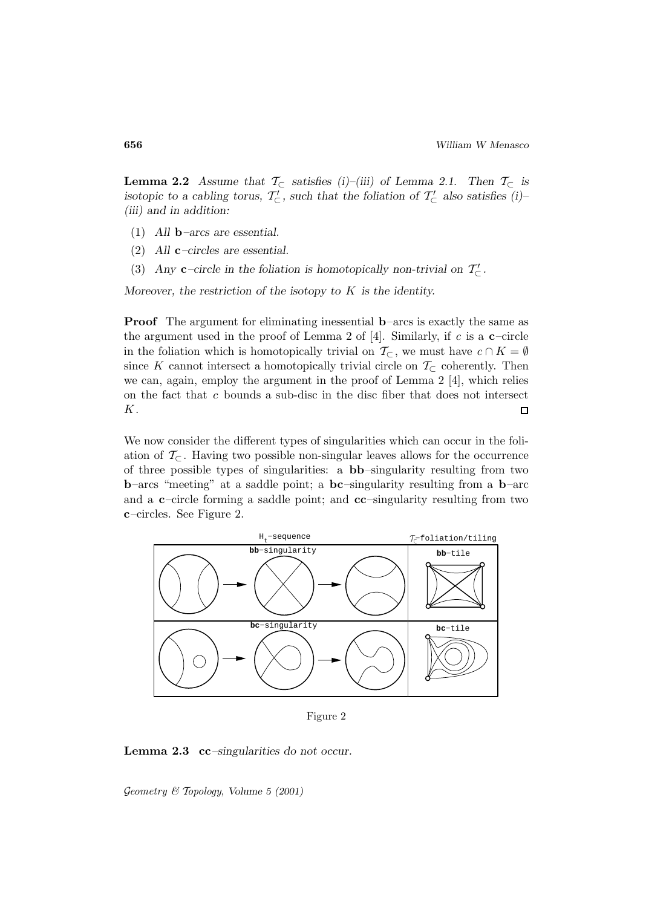**Lemma 2.2** *Assume that*  $\mathcal{T}_{\subset}$  *satisfies (i)–(iii) of Lemma 2.1.* Then  $\mathcal{T}_{\subset}$  *is isotopic to a cabling torus,*  $T_{\subset}$ , such that the foliation of  $T_{\subset}$  also satisfies (i)– *(iii) and in addition:*

- (1) *All* **b***–arcs are essential.*
- (2) *All* **c***–circles are essential.*
- (3) *Any* **c**–circle in the foliation is homotopically non-trivial on  $T'_{\subset}$ .

*Moreover, the restriction of the isotopy to* K *is the identity.*

**Proof** The argument for eliminating inessential **b**–arcs is exactly the same as the argument used in the proof of Lemma 2 of [4]. Similarly, if c is a **c**–circle in the foliation which is homotopically trivial on  $\mathcal{T}_{\subset}$ , we must have  $c \cap K = \emptyset$ since K cannot intersect a homotopically trivial circle on  $\mathcal{T}_{\subset}$  coherently. Then we can, again, employ the argument in the proof of Lemma  $2 \lfloor 4 \rfloor$ , which relies on the fact that c bounds a sub-disc in the disc fiber that does not intersect K.  $\Box$ 

We now consider the different types of singularities which can occur in the foliation of  $\mathcal{T}_{\subset}$ . Having two possible non-singular leaves allows for the occurrence of three possible types of singularities: a **bb**–singularity resulting from two **b**–arcs "meeting" at a saddle point; a **bc**–singularity resulting from a **b**–arc and a **c**–circle forming a saddle point; and **cc**–singularity resulting from two **c**–circles. See Figure 2.



Figure 2

**Lemma 2.3 cc***–singularities do not occur.*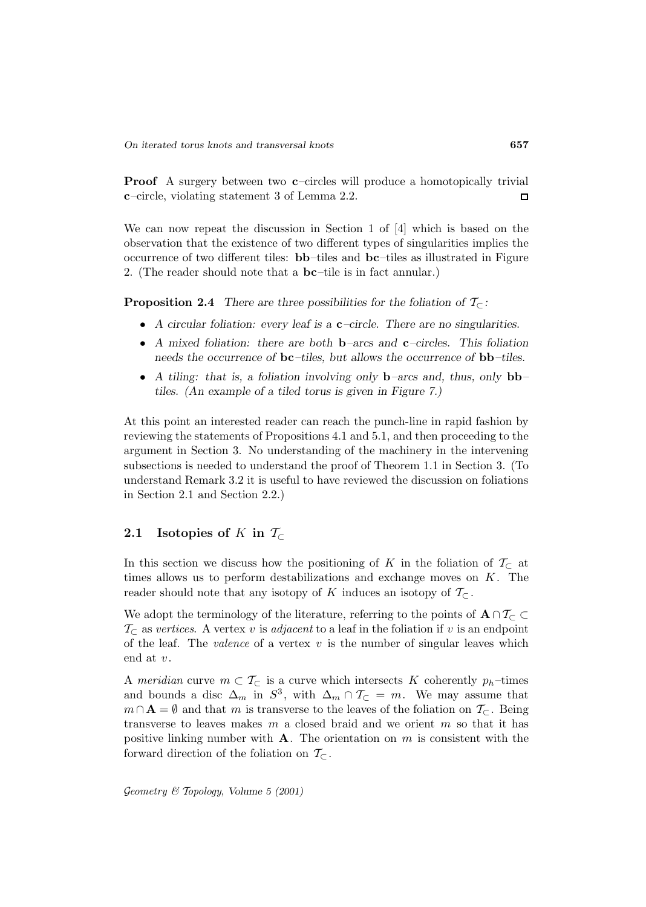**Proof** A surgery between two **c**–circles will produce a homotopically trivial **c**–circle, violating statement 3 of Lemma 2.2.  $\Box$ 

We can now repeat the discussion in Section 1 of [4] which is based on the observation that the existence of two different types of singularities implies the occurrence of two different tiles: **bb**–tiles and **bc**–tiles as illustrated in Figure 2. (The reader should note that a **bc**–tile is in fact annular.)

**Proposition 2.4** *There are three possibilities for the foliation of*  $T_{\subset}$ *:* 

- *A circular foliation: every leaf is a* **c***–circle. There are no singularities.*
- *A mixed foliation: there are both* **b***–arcs and* **c***–circles. This foliation needs the occurrence of* **bc***–tiles, but allows the occurrence of* **bb***–tiles.*
- *A tiling: that is, a foliation involving only* **b***–arcs and, thus, only* **bb***– tiles. (An example of a tiled torus is given in Figure 7.)*

At this point an interested reader can reach the punch-line in rapid fashion by reviewing the statements of Propositions 4.1 and 5.1, and then proceeding to the argument in Section 3. No understanding of the machinery in the intervening subsections is needed to understand the proof of Theorem 1.1 in Section 3. (To understand Remark 3.2 it is useful to have reviewed the discussion on foliations in Section 2.1 and Section 2.2.)

## **2.1** Isotopies of K in  $\mathcal{T}_{\subset}$

In this section we discuss how the positioning of K in the foliation of  $\mathcal{T}_{\subset}$  at times allows us to perform destabilizations and exchange moves on  $K$ . The reader should note that any isotopy of K induces an isotopy of  $\mathcal{T}_{\subset}$ .

We adopt the terminology of the literature, referring to the points of  $\mathbf{A} \cap \mathcal{T}_{\subset} \subset$  $\mathcal{T}_{\subset}$  as vertices. A vertex v is adjacent to a leaf in the foliation if v is an endpoint of the leaf. The *valence* of a vertex  $v$  is the number of singular leaves which end at  $v$ .

A meridian curve  $m \subset \mathcal{T}_\subset$  is a curve which intersects K coherently  $p_h$ -times and bounds a disc  $\Delta_m$  in  $S^3$ , with  $\Delta_m \cap \mathcal{T}_\subset = m$ . We may assume that  $m \cap A = \emptyset$  and that m is transverse to the leaves of the foliation on  $\mathcal{T}_{\subset}$ . Being transverse to leaves makes m a closed braid and we orient m so that it has positive linking number with  $A$ . The orientation on  $m$  is consistent with the forward direction of the foliation on  $\mathcal{T}_{\subset}$ .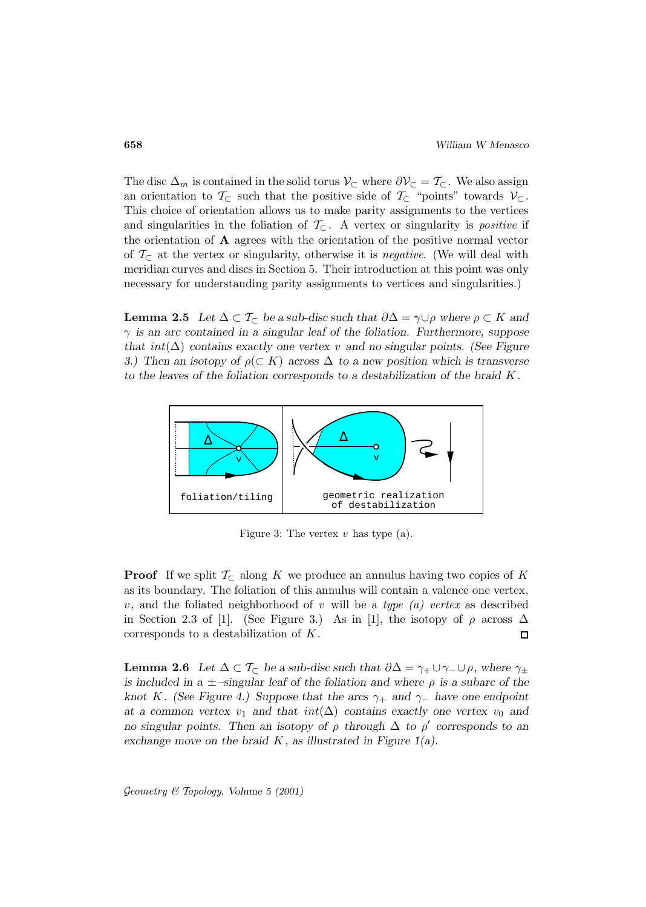The disc  $\Delta_m$  is contained in the solid torus  $\mathcal{V}_{\subset}$  where  $\partial \mathcal{V}_{\subset} = \mathcal{T}_{\subset}$ . We also assign an orientation to  $\mathcal{T}_{\subset}$  such that the positive side of  $\mathcal{T}_{\subset}$  "points" towards  $\mathcal{V}_{\subset}$ . This choice of orientation allows us to make parity assignments to the vertices and singularities in the foliation of  $\mathcal{T}_{\subset}$ . A vertex or singularity is *positive* if the orientation of **A** agrees with the orientation of the positive normal vector of  $\mathcal{T}_{\subset}$  at the vertex or singularity, otherwise it is *negative*. (We will deal with meridian curves and discs in Section 5. Their introduction at this point was only necessary for understanding parity assignments to vertices and singularities.)

**Lemma 2.5** *Let*  $\Delta \subset T_{\subset}$  *be a sub-disc such that*  $\partial \Delta = \gamma \cup \rho$  *where*  $\rho \subset K$  *and* γ *is an arc contained in a singular leaf of the foliation. Furthermore, suppose that* int(∆) *contains exactly one vertex* v *and no singular points. (See Figure 3.)* Then an isotopy of  $\rho(\subset K)$  across  $\Delta$  to a new position which is transverse *to the leaves of the foliation corresponds to a destabilization of the braid* K*.*



Figure 3: The vertex  $v$  has type (a).

**Proof** If we split  $\mathcal{T}_{\subset \mathbb{R}}$  along K we produce an annulus having two copies of K as its boundary. The foliation of this annulus will contain a valence one vertex, v, and the foliated neighborhood of v will be a type  $(a)$  vertex as described in Section 2.3 of [1]. (See Figure 3.) As in [1], the isotopy of  $\rho$  across  $\Delta$ corresponds to a destabilization of K.  $\Box$ 

**Lemma 2.6** *Let*  $\Delta \subset T_{\subset}$  *be a sub-disc such that*  $\partial \Delta = \gamma_+ \cup \gamma_- \cup \rho$ *, where*  $\gamma_+$ *is included in a* ±*–singular leaf of the foliation and where* ρ *is a subarc of the knot* K*. (See Figure 4.) Suppose that the arcs* γ<sup>+</sup> *and* γ<sup>−</sup> *have one endpoint* at a common vertex  $v_1$  and that  $int(\Delta)$  contains exactly one vertex  $v_0$  and *no singular points. Then an isotopy of*  $\rho$  *through*  $\Delta$  *to*  $\rho'$  *corresponds to an exchange move on the braid* K*, as illustrated in Figure 1(a).*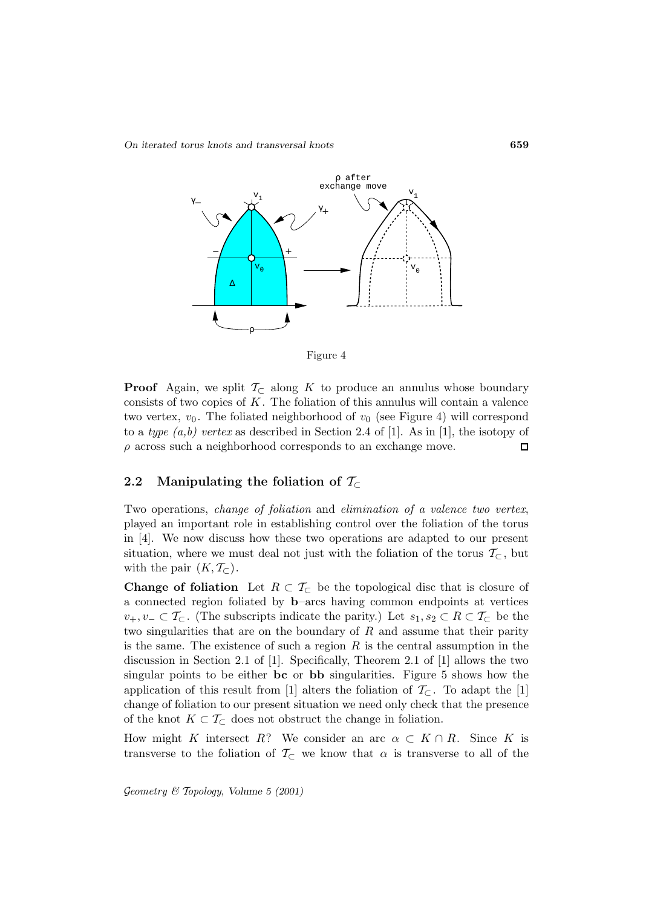*On iterated torus knots and transversal knots* **659**





**Proof** Again, we split  $\mathcal{T}_{\subset \mathbb{R}}$  along K to produce an annulus whose boundary consists of two copies of  $K$ . The foliation of this annulus will contain a valence two vertex,  $v_0$ . The foliated neighborhood of  $v_0$  (see Figure 4) will correspond to a type  $(a,b)$  vertex as described in Section 2.4 of [1]. As in [1], the isotopy of  $\rho$  across such a neighborhood corresponds to an exchange move.  $\Box$ 

### **2.2** Manipulating the foliation of  $\mathcal{T}_{\subset}$

Two operations, change of foliation and elimination of a valence two vertex, played an important role in establishing control over the foliation of the torus in [4]. We now discuss how these two operations are adapted to our present situation, where we must deal not just with the foliation of the torus  $\mathcal{T}_{\subset}$ , but with the pair  $(K, \mathcal{T}_{\subset})$ .

**Change of foliation** Let  $R \subset T_{\text{C}}$  be the topological disc that is closure of a connected region foliated by **b**–arcs having common endpoints at vertices  $v_+, v_-\subset \mathcal{T}_{\subset}$ . (The subscripts indicate the parity.) Let  $s_1, s_2\subset R\subset \mathcal{T}_{\subset}$  be the two singularities that are on the boundary of  $R$  and assume that their parity is the same. The existence of such a region  $R$  is the central assumption in the discussion in Section 2.1 of [1]. Specifically, Theorem 2.1 of [1] allows the two singular points to be either **bc** or **bb** singularities. Figure 5 shows how the application of this result from [1] alters the foliation of  $\mathcal{T}_{\subset}$ . To adapt the [1] change of foliation to our present situation we need only check that the presence of the knot  $K \subset \mathcal{T}_{\subset}$  does not obstruct the change in foliation.

How might K intersect R? We consider an arc  $\alpha \subset K \cap R$ . Since K is transverse to the foliation of  $\mathcal{T}_{\subset}$  we know that  $\alpha$  is transverse to all of the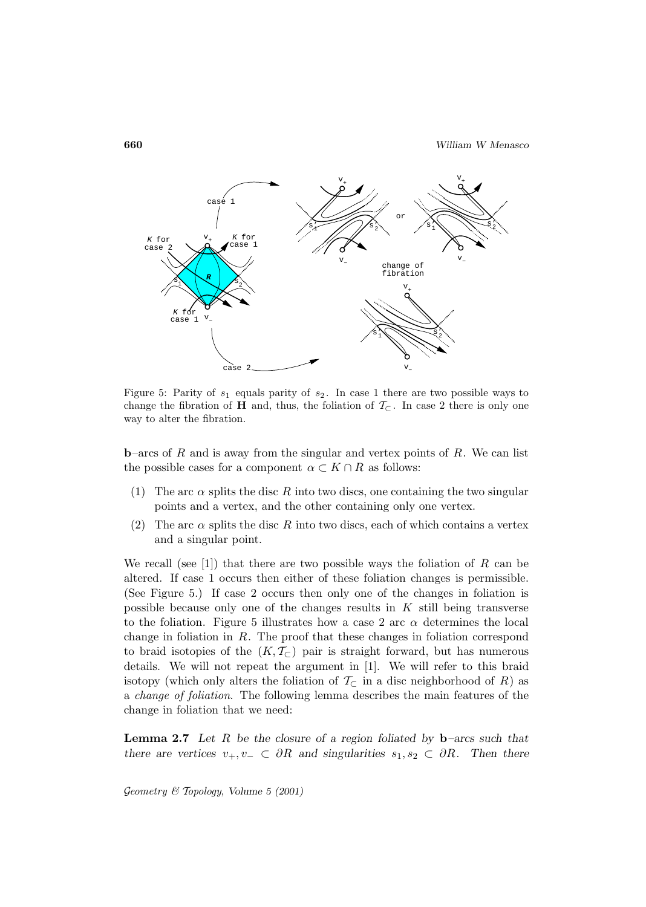

Figure 5: Parity of  $s_1$  equals parity of  $s_2$ . In case 1 there are two possible ways to change the fibration of **H** and, thus, the foliation of  $\mathcal{T}_{\subset}$ . In case 2 there is only one way to alter the fibration.

**b**–arcs of R and is away from the singular and vertex points of R. We can list the possible cases for a component  $\alpha \subset K \cap R$  as follows:

- (1) The arc  $\alpha$  splits the disc R into two discs, one containing the two singular points and a vertex, and the other containing only one vertex.
- (2) The arc  $\alpha$  splits the disc R into two discs, each of which contains a vertex and a singular point.

We recall (see [1]) that there are two possible ways the foliation of R can be altered. If case 1 occurs then either of these foliation changes is permissible. (See Figure 5.) If case 2 occurs then only one of the changes in foliation is possible because only one of the changes results in  $K$  still being transverse to the foliation. Figure 5 illustrates how a case 2 arc  $\alpha$  determines the local change in foliation in  $R$ . The proof that these changes in foliation correspond to braid isotopies of the  $(K, \mathcal{T}_{\subset})$  pair is straight forward, but has numerous details. We will not repeat the argument in [1]. We will refer to this braid isotopy (which only alters the foliation of  $\mathcal{T}_{\subset}$  in a disc neighborhood of R) as a change of foliation. The following lemma describes the main features of the change in foliation that we need:

**Lemma 2.7** *Let* R *be the closure of a region foliated by* **b***–arcs such that there are vertices*  $v_+, v_- \subset \partial R$  *and singularities*  $s_1, s_2 \subset \partial R$ *. Then there*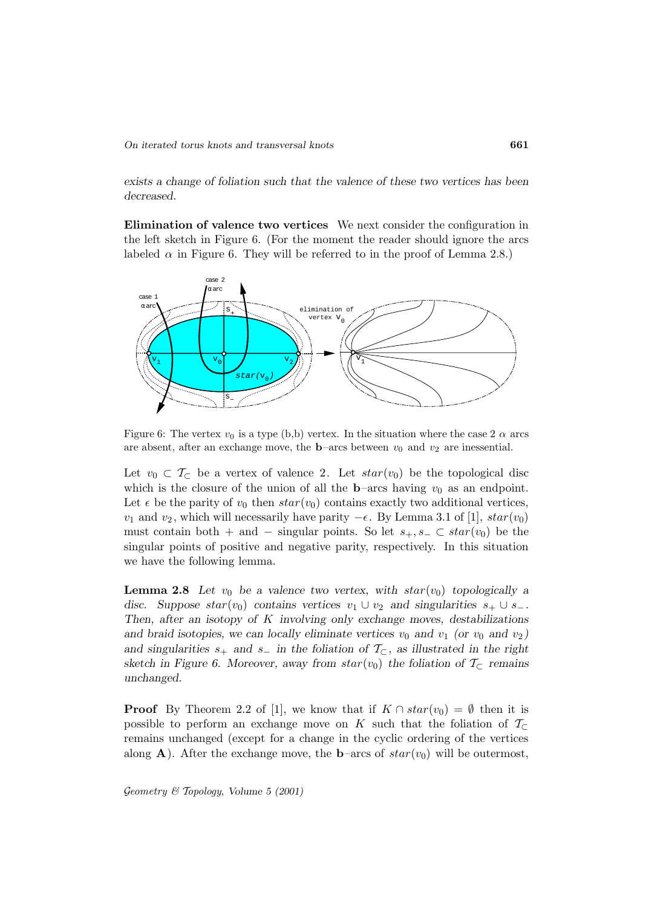*exists a change of foliation such that the valence of these two vertices has been decreased.*

**Elimination of valence two vertices** We next consider the configuration in the left sketch in Figure 6. (For the moment the reader should ignore the arcs labeled  $\alpha$  in Figure 6. They will be referred to in the proof of Lemma 2.8.)



Figure 6: The vertex  $v_0$  is a type (b,b) vertex. In the situation where the case 2  $\alpha$  arcs are absent, after an exchange move, the **b**–arcs between  $v_0$  and  $v_2$  are inessential.

Let  $v_0 \,\subset \,\mathcal{T}_{\subset}$  be a vertex of valence 2. Let  $star(v_0)$  be the topological disc which is the closure of the union of all the **b**–arcs having  $v_0$  as an endpoint. Let  $\epsilon$  be the parity of  $v_0$  then  $star(v_0)$  contains exactly two additional vertices,  $v_1$  and  $v_2$ , which will necessarily have parity  $-\epsilon$ . By Lemma 3.1 of [1],  $star(v_0)$ must contain both + and − singular points. So let  $s_+, s_- \subset star(v_0)$  be the singular points of positive and negative parity, respectively. In this situation we have the following lemma.

**Lemma 2.8** Let  $v_0$  be a valence two vertex, with  $star(v_0)$  topologically a *disc.* Suppose  $star(v_0)$  contains vertices  $v_1 \cup v_2$  and singularities  $s_+ \cup s_-$ . *Then, after an isotopy of* K *involving only exchange moves, destabilizations* and braid isotopies, we can locally eliminate vertices  $v_0$  and  $v_1$  (or  $v_0$  and  $v_2$ ) and singularities  $s_+$  and  $s_-$  in the foliation of  $\mathcal{T}_{\subset}$ , as illustrated in the right *sketch in Figure 6. Moreover, away from*  $star(v_0)$  *the foliation of*  $\mathcal{T}_{\subset}$  *remains unchanged.*

**Proof** By Theorem 2.2 of [1], we know that if  $K \cap star(v_0) = \emptyset$  then it is possible to perform an exchange move on K such that the foliation of  $\mathcal{T}_{\subset}$ remains unchanged (except for a change in the cyclic ordering of the vertices along **A**). After the exchange move, the **b**–arcs of  $star(v_0)$  will be outermost,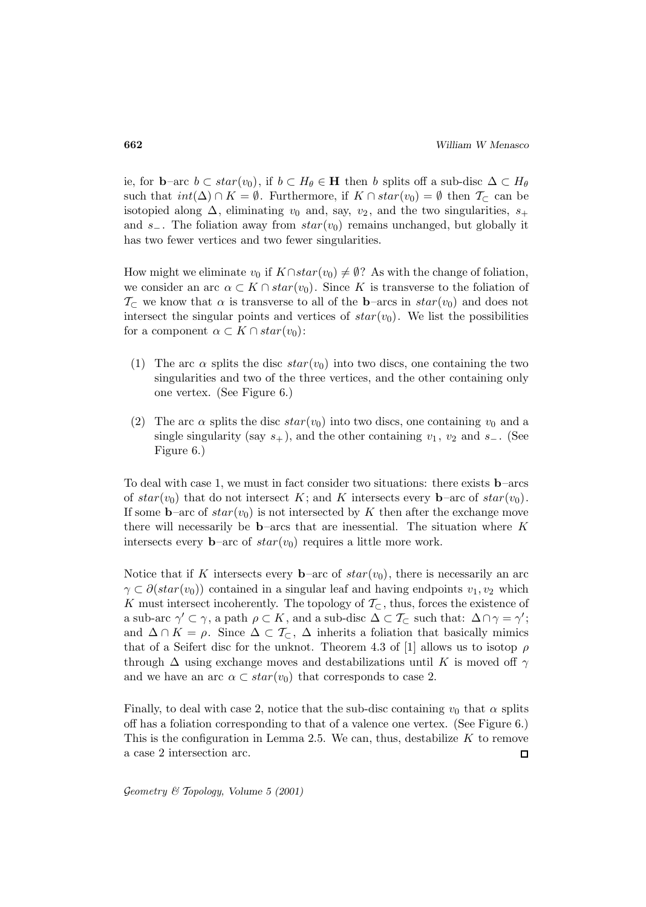ie, for **b**–arc  $b \subset star(v_0)$ , if  $b \subset H_\theta \in \mathbf{H}$  then b splits off a sub-disc  $\Delta \subset H_\theta$ such that  $int(\Delta) \cap K = \emptyset$ . Furthermore, if  $K \cap star(v_0) = \emptyset$  then  $\mathcal{T}_{\subset}$  can be isotopied along  $\Delta$ , eliminating  $v_0$  and, say,  $v_2$ , and the two singularities,  $s_+$ and s−. The foliation away from  $star(v_0)$  remains unchanged, but globally it has two fewer vertices and two fewer singularities.

How might we eliminate  $v_0$  if  $K \cap star(v_0) \neq \emptyset$ ? As with the change of foliation, we consider an arc  $\alpha \subset K \cap star(v_0)$ . Since K is transverse to the foliation of  $\mathcal{T}_{\subset}$  we know that  $\alpha$  is transverse to all of the **b**–arcs in  $star(v_0)$  and does not intersect the singular points and vertices of  $star(v_0)$ . We list the possibilities for a component  $\alpha \subset K \cap star(v_0)$ :

- (1) The arc  $\alpha$  splits the disc  $star(v_0)$  into two discs, one containing the two singularities and two of the three vertices, and the other containing only one vertex. (See Figure 6.)
- (2) The arc  $\alpha$  splits the disc  $star(v_0)$  into two discs, one containing  $v_0$  and a single singularity (say  $s_{+}$ ), and the other containing  $v_1, v_2$  and  $s_{-}$ . (See Figure 6.)

To deal with case 1, we must in fact consider two situations: there exists **b**–arcs of  $star(v_0)$  that do not intersect K; and K intersects every **b**–arc of  $star(v_0)$ . If some **b**–arc of  $star(v_0)$  is not intersected by K then after the exchange move there will necessarily be **b**–arcs that are inessential. The situation where  $K$ intersects every **b**–arc of  $star(v_0)$  requires a little more work.

Notice that if K intersects every **b**–arc of  $star(v_0)$ , there is necessarily an arc  $\gamma \subset \partial (star(v_0))$  contained in a singular leaf and having endpoints  $v_1, v_2$  which K must intersect incoherently. The topology of  $\mathcal{T}_{\subset}$ , thus, forces the existence of a sub-arc  $\gamma' \subset \gamma$ , a path  $\rho \subset K$ , and a sub-disc  $\Delta \subset \mathcal{T}_{\subset}$  such that:  $\Delta \cap \gamma = \gamma'$ ; and  $\Delta \cap K = \rho$ . Since  $\Delta \subset \mathcal{T}_{\subset}$ ,  $\Delta$  inherits a foliation that basically mimics that of a Seifert disc for the unknot. Theorem 4.3 of [1] allows us to isotop  $\rho$ through  $\Delta$  using exchange moves and destabilizations until K is moved off  $\gamma$ and we have an arc  $\alpha \subset star(v_0)$  that corresponds to case 2.

Finally, to deal with case 2, notice that the sub-disc containing  $v_0$  that  $\alpha$  splits off has a foliation corresponding to that of a valence one vertex. (See Figure 6.) This is the configuration in Lemma 2.5. We can, thus, destabilize  $K$  to remove a case 2 intersection arc.  $\Box$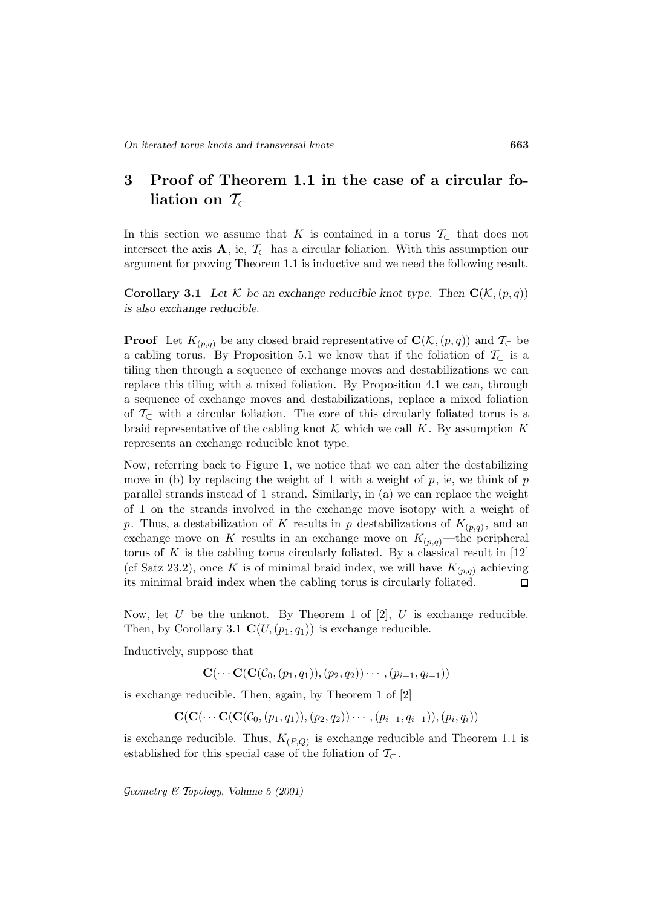# **3 Proof of Theorem 1.1 in the case of a circular foliation on** T⊂

In this section we assume that K is contained in a torus  $\mathcal{T}_{\subset}$  that does not intersect the axis **A**, ie,  $\mathcal{T}_{\subset}$  has a circular foliation. With this assumption our argument for proving Theorem 1.1 is inductive and we need the following result.

**Corollary 3.1** Let K be an exchange reducible knot type. Then  $\mathbf{C}(\mathcal{K},p,q)$ *is also exchange reducible.*

**Proof** Let  $K_{(p,q)}$  be any closed braid representative of  $\mathbf{C}(\mathcal{K},(p,q))$  and  $\mathcal{T}_{\subset}$  be a cabling torus. By Proposition 5.1 we know that if the foliation of  $\mathcal{T}_{\subset}$  is a tiling then through a sequence of exchange moves and destabilizations we can replace this tiling with a mixed foliation. By Proposition 4.1 we can, through a sequence of exchange moves and destabilizations, replace a mixed foliation of  $\mathcal{T}_{\subset}$  with a circular foliation. The core of this circularly foliated torus is a braid representative of the cabling knot  $\mathcal K$  which we call  $K$ . By assumption K represents an exchange reducible knot type.

Now, referring back to Figure 1, we notice that we can alter the destabilizing move in (b) by replacing the weight of 1 with a weight of  $p$ , ie, we think of  $p$ parallel strands instead of 1 strand. Similarly, in (a) we can replace the weight of 1 on the strands involved in the exchange move isotopy with a weight of p. Thus, a destabilization of K results in p destabilizations of  $K_{(p,q)}$ , and an exchange move on K results in an exchange move on  $K_{(p,q)}$ —the peripheral torus of  $K$  is the cabling torus circularly foliated. By a classical result in  $[12]$ (cf Satz 23.2), once K is of minimal braid index, we will have  $K_{(p,q)}$  achieving its minimal braid index when the cabling torus is circularly foliated.  $\Box$ 

Now, let U be the unknot. By Theorem 1 of  $[2]$ , U is exchange reducible. Then, by Corollary 3.1  $\mathbf{C}(U,(p_1,q_1))$  is exchange reducible.

Inductively, suppose that

 $\mathbf{C}(\cdots \mathbf{C}(\mathbf{C}(\mathcal{C}_0,(p_1,q_1)),(p_2,q_2))\cdots,(p_{i-1},q_{i-1}))$ 

is exchange reducible. Then, again, by Theorem 1 of [2]

$$
\mathbf{C}(\mathbf{C}(\cdots\mathbf{C}(\mathbf{C}(\mathcal{C}_0,(p_1,q_1)),(p_2,q_2))\cdots,(p_{i-1},q_{i-1})),(p_i,q_i))
$$

is exchange reducible. Thus,  $K_{(P,Q)}$  is exchange reducible and Theorem 1.1 is established for this special case of the foliation of  $\mathcal{T}_{\subset}$ .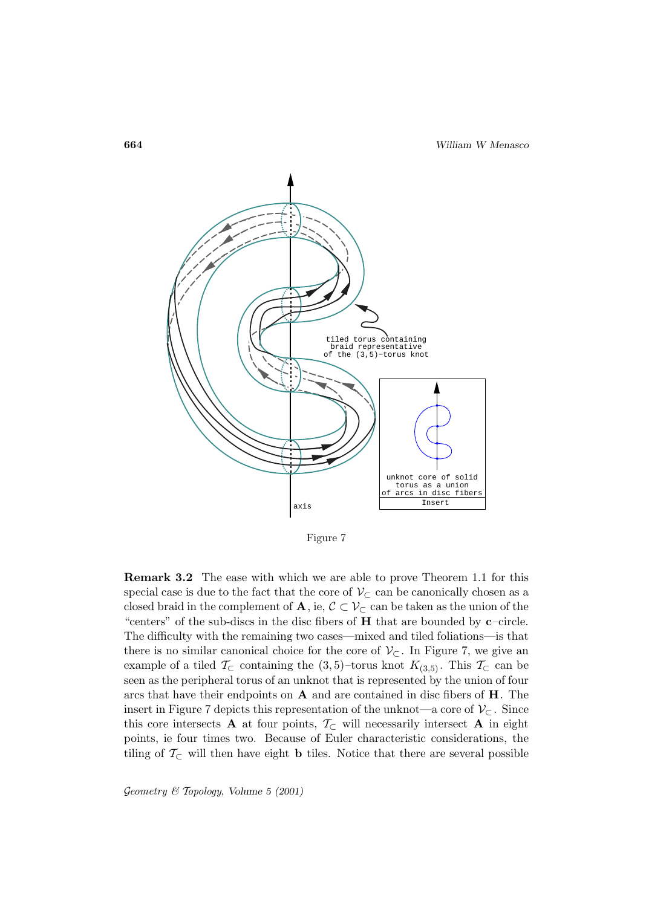

Figure 7

**Remark 3.2** The ease with which we are able to prove Theorem 1.1 for this special case is due to the fact that the core of  $\mathcal{V}_{\subset}$  can be canonically chosen as a closed braid in the complement of **A**, ie,  $C \subset V_C$  can be taken as the union of the "centers" of the sub-discs in the disc fibers of **H** that are bounded by **c**–circle. The difficulty with the remaining two cases—mixed and tiled foliations—is that there is no similar canonical choice for the core of  $\mathcal{V}_{\subset}$ . In Figure 7, we give an example of a tiled  $\mathcal{T}_{\subset}$  containing the  $(3,5)$ –torus knot  $K_{(3,5)}$ . This  $\mathcal{T}_{\subset}$  can be seen as the peripheral torus of an unknot that is represented by the union of four arcs that have their endpoints on **A** and are contained in disc fibers of **H**. The insert in Figure 7 depicts this representation of the unknot—a core of  $\mathcal{V}_{\subset}$ . Since this core intersects **A** at four points,  $\mathcal{T}_{\subset}$  will necessarily intersect **A** in eight points, ie four times two. Because of Euler characteristic considerations, the tiling of  $\mathcal{T}_{\subset}$  will then have eight **b** tiles. Notice that there are several possible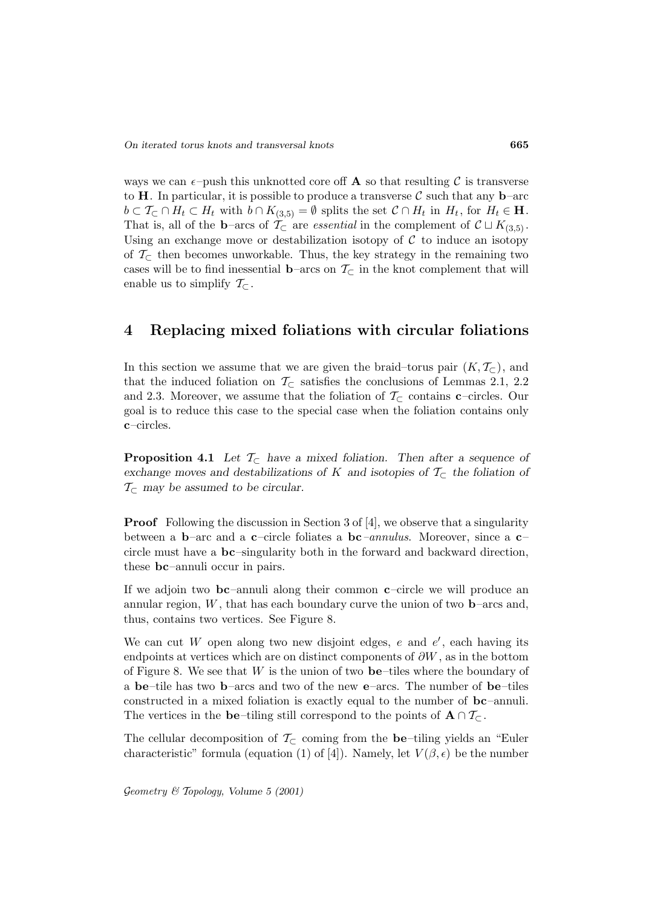ways we can  $\epsilon$ -push this unknotted core of **A** so that resulting C is transverse to **H**. In particular, it is possible to produce a transverse  $\mathcal{C}$  such that any **b**–arc  $b \subset \mathcal{T}_{\subset} \cap H_t \subset H_t$  with  $b \cap K_{(3,5)} = \emptyset$  splits the set  $\mathcal{C} \cap H_t$  in  $H_t$ , for  $H_t \in \mathbf{H}$ . That is, all of the **b**–arcs of  $\mathcal{T}_{\subset}$  are *essential* in the complement of  $\mathcal{C} \sqcup K_{(3,5)}$ . Using an exchange move or destabilization isotopy of  $\mathcal C$  to induce an isotopy of  $\mathcal{T}_{\subset}$  then becomes unworkable. Thus, the key strategy in the remaining two cases will be to find inessential **b**–arcs on  $\mathcal{T}_{\subset}$  in the knot complement that will enable us to simplify  $\mathcal{T}_{\subset}$ .

## **4 Replacing mixed foliations with circular foliations**

In this section we assume that we are given the braid–torus pair  $(K, \mathcal{T}_{\subset})$ , and that the induced foliation on  $\mathcal{T}_{\subset}$  satisfies the conclusions of Lemmas 2.1, 2.2 and 2.3. Moreover, we assume that the foliation of  $\mathcal{T}_{\subset}$  contains **c**–circles. Our goal is to reduce this case to the special case when the foliation contains only **c**–circles.

**Proposition 4.1** *Let*  $\mathcal{T}_{\subset \mathbb{R}}$  *have a mixed foliation. Then after a sequence of exchange moves and destabilizations of* K *and isotopies of* T<sup>⊂</sup> *the foliation of*  $\mathcal{T}_{\subset}$  may be assumed to be circular.

**Proof** Following the discussion in Section 3 of [4], we observe that a singularity between a **b**–arc and a **c**–circle foliates a **bc**–annulus. Moreover, since a **c**– circle must have a **bc**–singularity both in the forward and backward direction, these **bc**–annuli occur in pairs.

If we adjoin two **bc**–annuli along their common **c**–circle we will produce an annular region,  $W$ , that has each boundary curve the union of two **–arcs and,** thus, contains two vertices. See Figure 8.

We can cut W open along two new disjoint edges,  $e$  and  $e'$ , each having its endpoints at vertices which are on distinct components of  $\partial W$ , as in the bottom of Figure 8. We see that W is the union of two **be**–tiles where the boundary of a **be**–tile has two **b**–arcs and two of the new **e**–arcs. The number of **be**–tiles constructed in a mixed foliation is exactly equal to the number of **bc**–annuli. The vertices in the **be**–tiling still correspond to the points of  $\mathbf{A} \cap \mathcal{T}_\mathbf{C}$ .

The cellular decomposition of  $\mathcal{T}_{\subset}$  coming from the **be**–tiling yields an "Euler" characteristic" formula (equation (1) of [4]). Namely, let  $V(\beta, \epsilon)$  be the number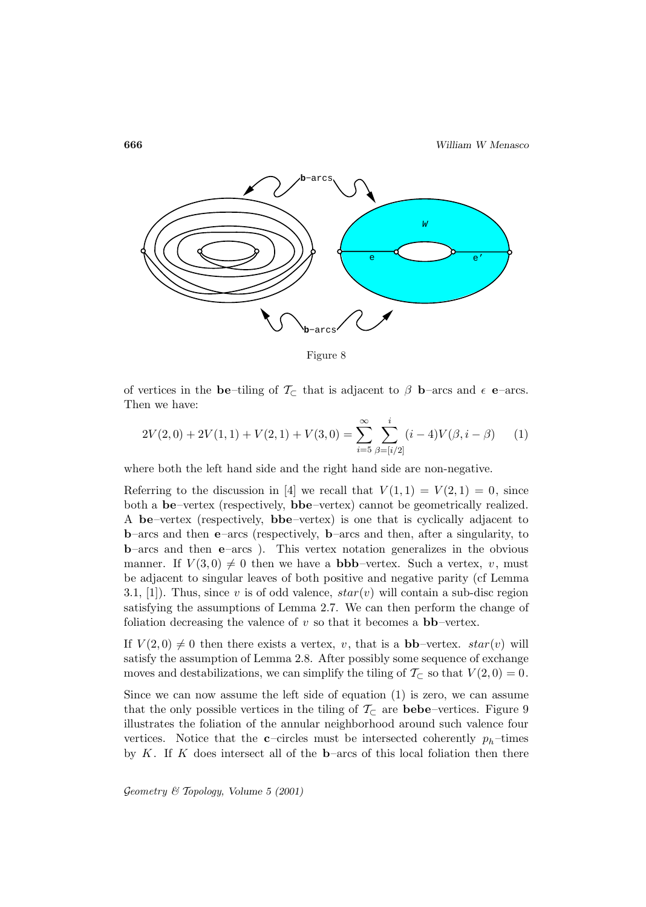

Figure 8

of vertices in the **be**–tiling of  $\mathcal{T}_{\subset}$  that is adjacent to  $\beta$  **b**–arcs and  $\epsilon$  **e**–arcs. Then we have:

$$
2V(2,0) + 2V(1,1) + V(2,1) + V(3,0) = \sum_{i=5}^{\infty} \sum_{\beta=[i/2]}^{i} (i-4)V(\beta, i-\beta)
$$
 (1)

where both the left hand side and the right hand side are non-negative.

Referring to the discussion in [4] we recall that  $V(1,1) = V(2,1) = 0$ , since both a **be**–vertex (respectively, **bbe**–vertex) cannot be geometrically realized. A **be**–vertex (respectively, **bbe**–vertex) is one that is cyclically adjacent to **b**–arcs and then **e**–arcs (respectively, **b**–arcs and then, after a singularity, to **b**–arcs and then **e**–arcs ). This vertex notation generalizes in the obvious manner. If  $V(3,0) \neq 0$  then we have a **bbb**–vertex. Such a vertex, v, must be adjacent to singular leaves of both positive and negative parity (cf Lemma 3.1, [1]). Thus, since v is of odd valence,  $star(v)$  will contain a sub-disc region satisfying the assumptions of Lemma 2.7. We can then perform the change of foliation decreasing the valence of  $v$  so that it becomes a  $bb$ –vertex.

If  $V(2,0) \neq 0$  then there exists a vertex, v, that is a **bb**–vertex.  $star(v)$  will satisfy the assumption of Lemma 2.8. After possibly some sequence of exchange moves and destabilizations, we can simplify the tiling of  $\mathcal{T}_{\subset}$  so that  $V(2,0) = 0$ .

Since we can now assume the left side of equation (1) is zero, we can assume that the only possible vertices in the tiling of  $\mathcal{T}_{\subset}$  are **bebe**–vertices. Figure 9 illustrates the foliation of the annular neighborhood around such valence four vertices. Notice that the **c**–circles must be intersected coherently  $p_h$ –times by  $K$ . If  $K$  does intersect all of the **b**–arcs of this local foliation then there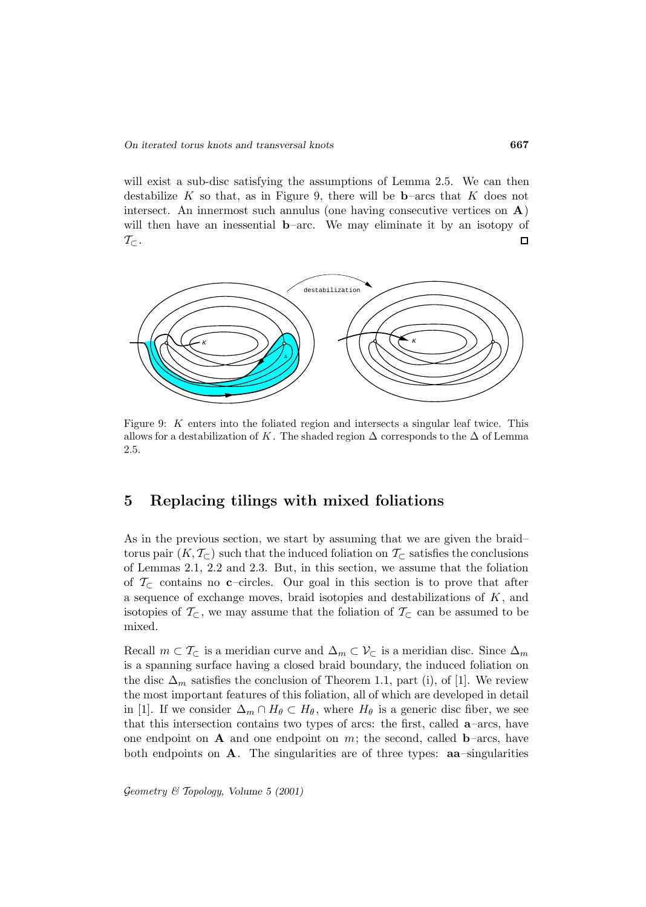will exist a sub-disc satisfying the assumptions of Lemma 2.5. We can then destabilize K so that, as in Figure 9, there will be **b**–arcs that K does not intersect. An innermost such annulus (one having consecutive vertices on **A**) will then have an inessential **b**–arc. We may eliminate it by an isotopy of  $\mathcal{T}_\subset$  .  $\Box$ 



Figure 9: K enters into the foliated region and intersects a singular leaf twice. This allows for a destabilization of K. The shaded region  $\Delta$  corresponds to the  $\Delta$  of Lemma 2.5.

## **5 Replacing tilings with mixed foliations**

As in the previous section, we start by assuming that we are given the braid– torus pair  $(K, \mathcal{T}_{\subset})$  such that the induced foliation on  $\mathcal{T}_{\subset}$  satisfies the conclusions of Lemmas 2.1, 2.2 and 2.3. But, in this section, we assume that the foliation of  $\mathcal{T}_{\subset}$  contains no **c**–circles. Our goal in this section is to prove that after a sequence of exchange moves, braid isotopies and destabilizations of  $K$ , and isotopies of  $\mathcal{T}_{\subset}$ , we may assume that the foliation of  $\mathcal{T}_{\subset}$  can be assumed to be mixed.

Recall  $m \subset T_{\subset}$  is a meridian curve and  $\Delta_m \subset V_{\subset}$  is a meridian disc. Since  $\Delta_m$ is a spanning surface having a closed braid boundary, the induced foliation on the disc  $\Delta_m$  satisfies the conclusion of Theorem 1.1, part (i), of [1]. We review the most important features of this foliation, all of which are developed in detail in [1]. If we consider  $\Delta_m \cap H_\theta \subset H_\theta$ , where  $H_\theta$  is a generic disc fiber, we see that this intersection contains two types of arcs: the first, called **a**–arcs, have one endpoint on **A** and one endpoint on  $m$ ; the second, called **b**–arcs, have both endpoints on **A**. The singularities are of three types: **aa**–singularities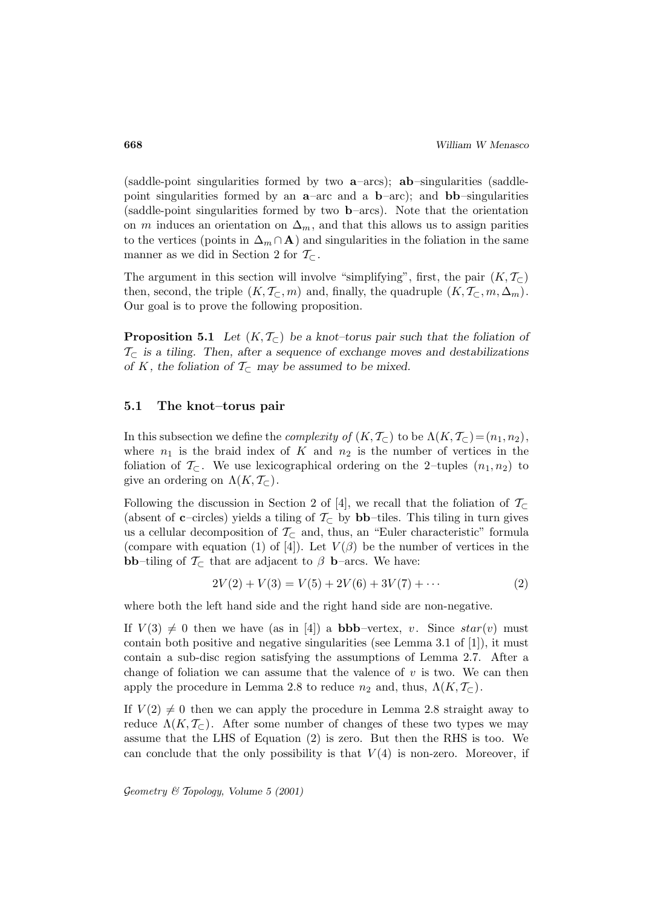(saddle-point singularities formed by two **a**–arcs); **ab**–singularities (saddlepoint singularities formed by an **a**–arc and a **b**–arc); and **bb**–singularities (saddle-point singularities formed by two **b**–arcs). Note that the orientation on m induces an orientation on  $\Delta_m$ , and that this allows us to assign parities to the vertices (points in  $\Delta_m \cap \mathbf{A}$ ) and singularities in the foliation in the same manner as we did in Section 2 for  $\mathcal{T}_{\subset}$ .

The argument in this section will involve "simplifying", first, the pair  $(K, \mathcal{T}_{\subset})$ then, second, the triple  $(K, \mathcal{T}_{\subset}, m)$  and, finally, the quadruple  $(K, \mathcal{T}_{\subset}, m, \Delta_m)$ . Our goal is to prove the following proposition.

**Proposition 5.1** *Let*  $(K, \mathcal{T}_{\subset})$  *be a knot–torus pair such that the foliation of* T<sup>⊂</sup> *is a tiling. Then, after a sequence of exchange moves and destabilizations of* K, the foliation of  $\mathcal{T}_{\subset}$  may be assumed to be mixed.

#### **5.1 The knot–torus pair**

In this subsection we define the *complexity of*  $(K, \mathcal{T}_{\subset})$  to be  $\Lambda(K, \mathcal{T}_{\subset})=(n_1, n_2)$ , where  $n_1$  is the braid index of K and  $n_2$  is the number of vertices in the foliation of  $\mathcal{T}_{\subset}$ . We use lexicographical ordering on the 2-tuples  $(n_1, n_2)$  to give an ordering on  $\Lambda(K, \mathcal{T}_{\subset})$ .

Following the discussion in Section 2 of [4], we recall that the foliation of  $\mathcal{T}_{\subset}$ (absent of **c**–circles) yields a tiling of  $\mathcal{T}_{\subset}$  by **bb**–tiles. This tiling in turn gives us a cellular decomposition of  $\mathcal{T}_{\subset}$  and, thus, an "Euler characteristic" formula (compare with equation (1) of [4]). Let  $V(\beta)$  be the number of vertices in the **bb**–tiling of  $\mathcal{T}_{\subset}$  that are adjacent to  $\beta$  **b**–arcs. We have:

$$
2V(2) + V(3) = V(5) + 2V(6) + 3V(7) + \cdots
$$
\n(2)

where both the left hand side and the right hand side are non-negative.

If  $V(3) \neq 0$  then we have (as in [4]) a **bbb**–vertex, v. Since  $star(v)$  must contain both positive and negative singularities (see Lemma 3.1 of [1]), it must contain a sub-disc region satisfying the assumptions of Lemma 2.7. After a change of foliation we can assume that the valence of  $v$  is two. We can then apply the procedure in Lemma 2.8 to reduce  $n_2$  and, thus,  $\Lambda(K, \mathcal{T}_{\subset})$ .

If  $V(2) \neq 0$  then we can apply the procedure in Lemma 2.8 straight away to reduce  $\Lambda(K, \mathcal{T}_{\subset})$ . After some number of changes of these two types we may assume that the LHS of Equation (2) is zero. But then the RHS is too. We can conclude that the only possibility is that  $V(4)$  is non-zero. Moreover, if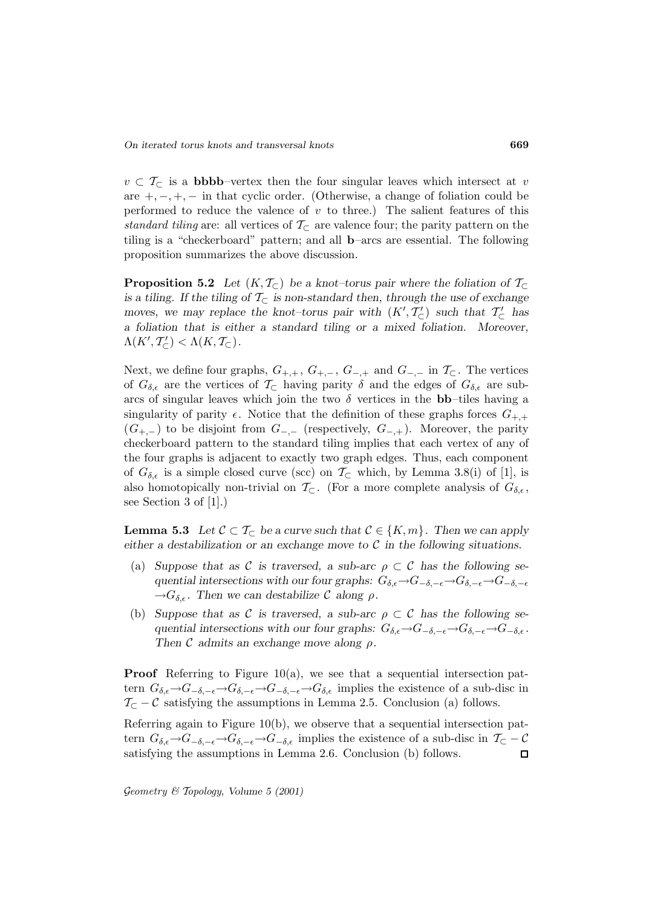$v \text{ }\subset \text{ } T_{\subset}$  is a **bbbb**–vertex then the four singular leaves which intersect at v are  $+, -, +, -$  in that cyclic order. (Otherwise, a change of foliation could be performed to reduce the valence of  $v$  to three.) The salient features of this standard tiling are: all vertices of  $\mathcal{T}_{\subset}$  are valence four; the parity pattern on the tiling is a "checkerboard" pattern; and all **b**–arcs are essential. The following proposition summarizes the above discussion.

**Proposition 5.2** *Let*  $(K, \mathcal{T}_{\subset})$  *be a knot–torus pair where the foliation of*  $\mathcal{T}_{\subset}$ *is a tiling. If the tiling of*  $\mathcal{T}_{\subset}$  *is non-standard then, through the use of exchange moves, we may replace the knot–torus pair with*  $(K', T'_{\subset})$  *such that*  $T'_{\subset}$  *has a foliation that is either a standard tiling or a mixed foliation. Moreover,*  $\Lambda(K',\mathcal{T}'_{\subset}) < \Lambda(K,\mathcal{T}_{\subset}).$ 

Next, we define four graphs,  $G_{+,+}$ ,  $G_{+,-}$ ,  $G_{-,+}$  and  $G_{-,-}$  in  $\mathcal{T}_{\subset}$ . The vertices of  $G_{\delta,\epsilon}$  are the vertices of  $\mathcal{T}_{\subset}$  having parity  $\delta$  and the edges of  $G_{\delta,\epsilon}$  are subarcs of singular leaves which join the two  $\delta$  vertices in the **bb**–tiles having a singularity of parity  $\epsilon$ . Notice that the definition of these graphs forces  $G_{+,+}$  $(G_{+,-})$  to be disjoint from  $G_{-,-}$  (respectively,  $G_{-,+}$ ). Moreover, the parity checkerboard pattern to the standard tiling implies that each vertex of any of the four graphs is adjacent to exactly two graph edges. Thus, each component of  $G_{\delta,\epsilon}$  is a simple closed curve (scc) on  $\mathcal{T}_{\subset}$  which, by Lemma 3.8(i) of [1], is also homotopically non-trivial on  $\mathcal{T}_{\subset}$ . (For a more complete analysis of  $G_{\delta,\epsilon}$ , see Section 3 of [1].)

**Lemma 5.3** *Let*  $C \subset T_{\subset}$  *be a curve such that*  $C \in \{K, m\}$ *. Then we can apply either a destabilization or an exchange move to* C *in the following situations.*

- (a) *Suppose that as*  $\mathcal C$  *is traversed, a sub-arc*  $\rho \subset \mathcal C$  *has the following sequential intersections with our four graphs:*  $G_{\delta,\epsilon} \to G_{-\delta,-\epsilon} \to G_{\delta,-\epsilon} \to G_{-\delta,-\epsilon}$  $\rightarrow G_{\delta,\epsilon}$ . Then we can destabilize C along  $\rho$ .
- (b) *Suppose that as*  $\mathcal C$  *is traversed, a sub-arc*  $\rho \subset \mathcal C$  *has the following sequential intersections with our four graphs:*  $G_{\delta,\epsilon} \to G_{-\delta,-\epsilon} \to G_{\delta,-\epsilon} \to G_{-\delta,\epsilon}$ . *Then* C *admits an exchange move along* ρ*.*

**Proof** Referring to Figure 10(a), we see that a sequential intersection pattern  $G_{\delta,\epsilon}\to G_{-\delta,-\epsilon}\to G_{\delta,-\epsilon}\to G_{-\delta,-\epsilon}\to G_{\delta,\epsilon}$  implies the existence of a sub-disc in  $\mathcal{T}_{\subset} - \mathcal{C}$  satisfying the assumptions in Lemma 2.5. Conclusion (a) follows.

Referring again to Figure 10(b), we observe that a sequential intersection pattern  $G_{\delta,\epsilon} \to G_{-\delta,-\epsilon} \to G_{\delta,-\epsilon} \to G_{-\delta,\epsilon}$  implies the existence of a sub-disc in  $\mathcal{T}_{\subset} - \mathcal{C}$  satisfying the assumptions in Lemma 2.6. Conclusion (b) follows. satisfying the assumptions in Lemma 2.6. Conclusion (b) follows.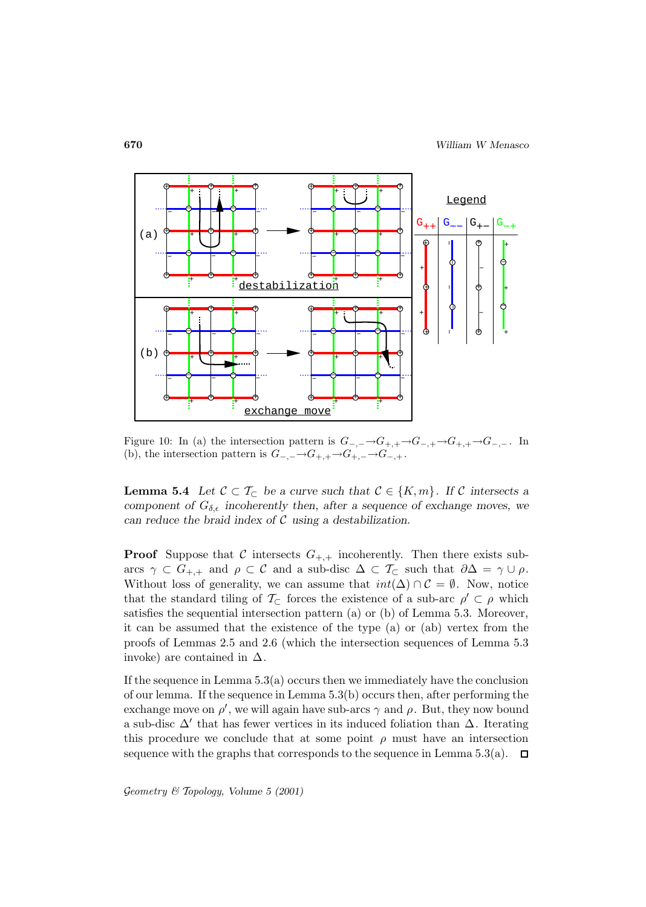

Figure 10: In (a) the intersection pattern is  $G_{-,-} \to G_{+,+} \to G_{-,+} \to G_{+,+} \to G_{-,-}$ . In (b), the intersection pattern is  $G_{-,-} \to G_{+,+} \to G_{+,-} \to G_{-,+}$ .

**Lemma 5.4** *Let*  $C \subset T_C$  *be a curve such that*  $C \in \{K, m\}$ *. If* C *intersects a component of*  $G_{\delta,\epsilon}$  *incoherently then, after a sequence of exchange moves, we can reduce the braid index of* C *using a destabilization.*

**Proof** Suppose that C intersects  $G_{+,+}$  incoherently. Then there exists subarcs  $\gamma \subset G_{+,+}$  and  $\rho \subset C$  and a sub-disc  $\Delta \subset \mathcal{T}_{\subset}$  such that  $\partial \Delta = \gamma \cup \rho$ . Without loss of generality, we can assume that  $int(\Delta) \cap C = \emptyset$ . Now, notice that the standard tiling of  $\mathcal{T}_{\subset}$  forces the existence of a sub-arc  $\rho' \subset \rho$  which satisfies the sequential intersection pattern (a) or (b) of Lemma 5.3. Moreover, it can be assumed that the existence of the type (a) or (ab) vertex from the proofs of Lemmas 2.5 and 2.6 (which the intersection sequences of Lemma 5.3 invoke) are contained in  $\Delta$ .

If the sequence in Lemma  $5.3(a)$  occurs then we immediately have the conclusion of our lemma. If the sequence in Lemma 5.3(b) occurs then, after performing the exchange move on  $\rho'$ , we will again have sub-arcs  $\gamma$  and  $\rho$ . But, they now bound a sub-disc  $\Delta'$  that has fewer vertices in its induced foliation than  $\Delta$ . Iterating this procedure we conclude that at some point  $\rho$  must have an intersection sequence with the graphs that corresponds to the sequence in Lemma 5.3(a).  $\Box$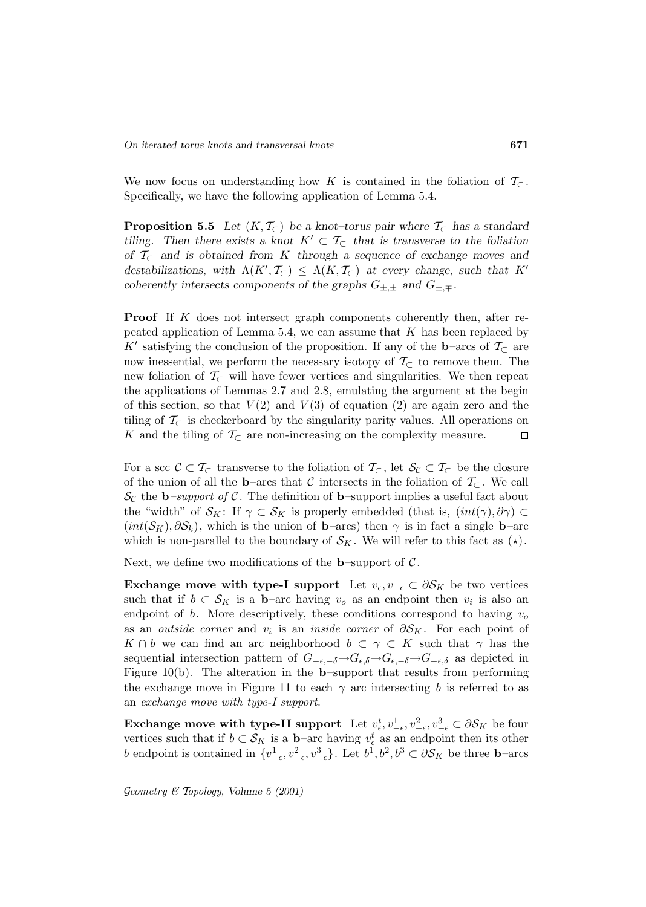We now focus on understanding how K is contained in the foliation of  $\mathcal{T}_{\subset}$ . Specifically, we have the following application of Lemma 5.4.

**Proposition 5.5** *Let*  $(K, \mathcal{T}_{\subset})$  *be a knot–torus pair where*  $\mathcal{T}_{\subset}$  *has a standard tiling.* Then there exists a knot  $K' \subset T_{\subset}$  that is transverse to the foliation *of* T<sup>⊂</sup> *and is obtained from* K *through a sequence of exchange moves and* destabilizations, with  $\Lambda(K', \mathcal{T}_{\subset}) \leq \Lambda(K, \mathcal{T}_{\subset})$  at every change, such that K<sup>0</sup> *coherently intersects components of the graphs*  $G_{\pm,\pm}$  *and*  $G_{\pm,\mp}$ *.* 

**Proof** If K does not intersect graph components coherently then, after repeated application of Lemma 5.4, we can assume that  $K$  has been replaced by  $K'$  satisfying the conclusion of the proposition. If any of the  $\mathbf{b}$ –arcs of  $\mathcal{T}_\subset$  are now inessential, we perform the necessary isotopy of  $\mathcal{T}_{\subset}$  to remove them. The new foliation of  $\mathcal{T}_{\subset}$  will have fewer vertices and singularities. We then repeat the applications of Lemmas 2.7 and 2.8, emulating the argument at the begin of this section, so that  $V(2)$  and  $V(3)$  of equation  $(2)$  are again zero and the tiling of  $\mathcal{T}_{\subset}$  is checkerboard by the singularity parity values. All operations on K and the tiling of  $\mathcal{T}_{\subset}$  are non-increasing on the complexity measure. K and the tiling of  $\mathcal{T}_{\subset}$  are non-increasing on the complexity measure.

For a scc  $\mathcal{C} \subset \mathcal{T}_{\subset}$  transverse to the foliation of  $\mathcal{T}_{\subset}$ , let  $\mathcal{S}_{\mathcal{C}} \subset \mathcal{T}_{\subset}$  be the closure of the union of all the **b**–arcs that C intersects in the foliation of  $\mathcal{T}_{\subset}$ . We call  $\mathcal{S}_{\mathcal{C}}$  the **b**–support of  $\mathcal{C}$ . The definition of **b**–support implies a useful fact about the "width" of  $\mathcal{S}_K$ : If  $\gamma \subset \mathcal{S}_K$  is properly embedded (that is,  $(int(\gamma), \partial \gamma) \subset$  $(int(\mathcal{S}_K), \partial \mathcal{S}_k)$ , which is the union of **b**–arcs) then  $\gamma$  is in fact a single **b**–arc which is non-parallel to the boundary of  $\mathcal{S}_K$ . We will refer to this fact as  $(\star)$ .

Next, we define two modifications of the **b**–support of  $C$ .

**Exchange move with type-I support** Let  $v_{\epsilon}, v_{-\epsilon} \subset \partial S_K$  be two vertices such that if  $b \subset S_K$  is a **b**–arc having  $v_o$  as an endpoint then  $v_i$  is also an endpoint of b. More descriptively, these conditions correspond to having  $v<sub>o</sub>$ as an *outside corner* and  $v_i$  is an *inside corner* of  $\partial S_K$ . For each point of  $K \cap b$  we can find an arc neighborhood  $b \subset \gamma \subset K$  such that  $\gamma$  has the sequential intersection pattern of  $G_{-\epsilon,-\delta} \to G_{\epsilon,\delta} \to G_{-\epsilon,\delta} \to G_{-\epsilon,\delta}$  as depicted in Figure 10(b). The alteration in the **b**–support that results from performing the exchange move in Figure 11 to each  $\gamma$  arc intersecting b is referred to as an exchange move with type-I support.

**Exchange move with type-II support** Let  $v_{\epsilon}^t, v_{-\epsilon}^1, v_{-\epsilon}^2, v_{-\epsilon}^3 \subset \partial S_K$  be four vertices such that if  $b \subset S_K$  is a **b**–arc having  $v_{\epsilon}^t$  as an endpoint then its other b endpoint is contained in  $\{v^1_{-\epsilon}, v^2_{-\epsilon}, v^3_{-\epsilon}\}\$ . Let  $b^1, b^2, b^3 \subset \partial S_K$  be three **b**–arcs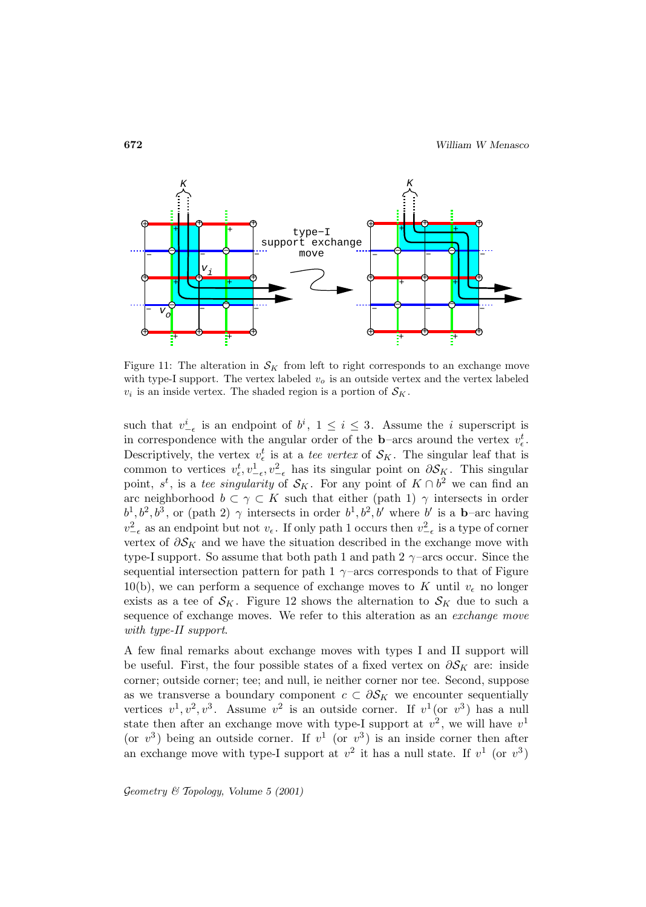

Figure 11: The alteration in  $\mathcal{S}_K$  from left to right corresponds to an exchange move with type-I support. The vertex labeled  $v<sub>o</sub>$  is an outside vertex and the vertex labeled  $v_i$  is an inside vertex. The shaded region is a portion of  $\mathcal{S}_K$ .

such that  $v_{-\epsilon}^i$  is an endpoint of  $b^i$ ,  $1 \leq i \leq 3$ . Assume the *i* superscript is in correspondence with the angular order of the **b**–arcs around the vertex  $v_{\epsilon}^{t}$ . Descriptively, the vertex  $v_{\epsilon}^{t}$  is at a tee vertex of  $\mathcal{S}_{K}$ . The singular leaf that is common to vertices  $v_{\epsilon}^t, v_{-\epsilon}^1, v_{-\epsilon}^2$  has its singular point on  $\partial S_K$ . This singular point,  $s^t$ , is a tee singularity of  $S_K$ . For any point of  $K \cap b^2$  we can find an arc neighborhood  $b \subset \gamma \subset K$  such that either (path 1)  $\gamma$  intersects in order  $b^1, b^2, b^3$ , or (path 2)  $\gamma$  intersects in order  $b^1, b^2, b'$  where b' is a **b**–arc having  $v_{-\epsilon}^2$  as an endpoint but not  $v_{\epsilon}$ . If only path 1 occurs then  $v_{-\epsilon}^2$  is a type of corner vertex of  $\partial S_K$  and we have the situation described in the exchange move with type-I support. So assume that both path 1 and path 2  $\gamma$ -arcs occur. Since the sequential intersection pattern for path 1  $\gamma$  –arcs corresponds to that of Figure 10(b), we can perform a sequence of exchange moves to K until  $v_{\epsilon}$  no longer exists as a tee of  $S_K$ . Figure 12 shows the alternation to  $S_K$  due to such a sequence of exchange moves. We refer to this alteration as an exchange move with type-II support.

A few final remarks about exchange moves with types I and II support will be useful. First, the four possible states of a fixed vertex on  $\partial S_K$  are: inside corner; outside corner; tee; and null, ie neither corner nor tee. Second, suppose as we transverse a boundary component  $c \subset \partial S_K$  we encounter sequentially vertices  $v^1, v^2, v^3$ . Assume  $v^2$  is an outside corner. If  $v^1$  (or  $v^3$ ) has a null state then after an exchange move with type-I support at  $v^2$ , we will have  $v^1$ (or  $v^3$ ) being an outside corner. If  $v^1$  (or  $v^3$ ) is an inside corner then after an exchange move with type-I support at  $v^2$  it has a null state. If  $v^1$  (or  $v^3$ )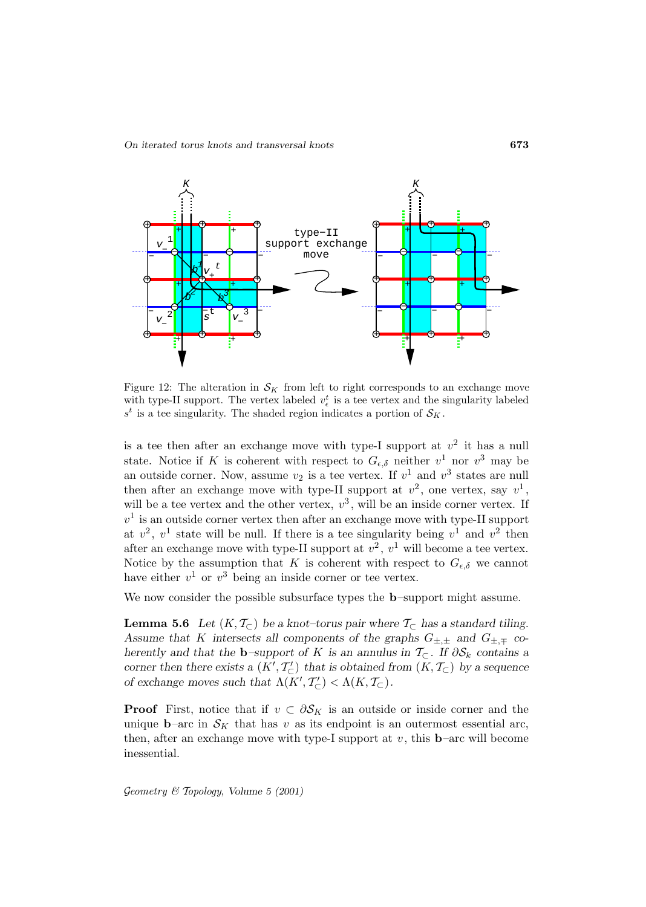*On iterated torus knots and transversal knots* **673**



Figure 12: The alteration in  $S_K$  from left to right corresponds to an exchange move with type-II support. The vertex labeled  $v_{\epsilon}^{t}$  is a tee vertex and the singularity labeled  $s^t$  is a tee singularity. The shaded region indicates a portion of  $\mathcal{S}_K$  .

is a tee then after an exchange move with type-I support at  $v^2$  it has a null state. Notice if K is coherent with respect to  $G_{\epsilon,\delta}$  neither  $v^1$  nor  $v^3$  may be an outside corner. Now, assume  $v_2$  is a tee vertex. If  $v^1$  and  $v^3$  states are null then after an exchange move with type-II support at  $v^2$ , one vertex, say  $v^1$ , will be a tee vertex and the other vertex,  $v^3$ , will be an inside corner vertex. If  $v<sup>1</sup>$  is an outside corner vertex then after an exchange move with type-II support at  $v^2$ ,  $v^1$  state will be null. If there is a tee singularity being  $v^1$  and  $v^2$  then after an exchange move with type-II support at  $v^2$ ,  $v^1$  will become a tee vertex. Notice by the assumption that K is coherent with respect to  $G_{\epsilon,\delta}$  we cannot have either  $v^1$  or  $v^3$  being an inside corner or tee vertex.

We now consider the possible subsurface types the **b**–support might assume.

**Lemma 5.6** *Let*  $(K, \mathcal{T}_{\subset})$  *be a knot–torus pair where*  $\mathcal{T}_{\subset}$  *has a standard tiling.* Assume that K intersects all components of the graphs  $G_{\pm,\pm}$  and  $G_{\pm,\mp}$  co*herently and that the* **b**–support of K is an annulus in  $\mathcal{T}_{\subset}$ . If  $\partial \mathcal{S}_k$  contains a *corner then there exists a*  $(K', T'_{\subset})$  *that is obtained from*  $(K, T_{\subset})$  *by a sequence of exchange moves such that*  $\Lambda(K', T'_{\subset}) < \Lambda(K, T_{\subset})$ .

**Proof** First, notice that if  $v \text{ }\subset \partial S_K$  is an outside or inside corner and the unique **b**–arc in  $\mathcal{S}_K$  that has v as its endpoint is an outermost essential arc, then, after an exchange move with type-I support at  $v$ , this **b**–arc will become inessential.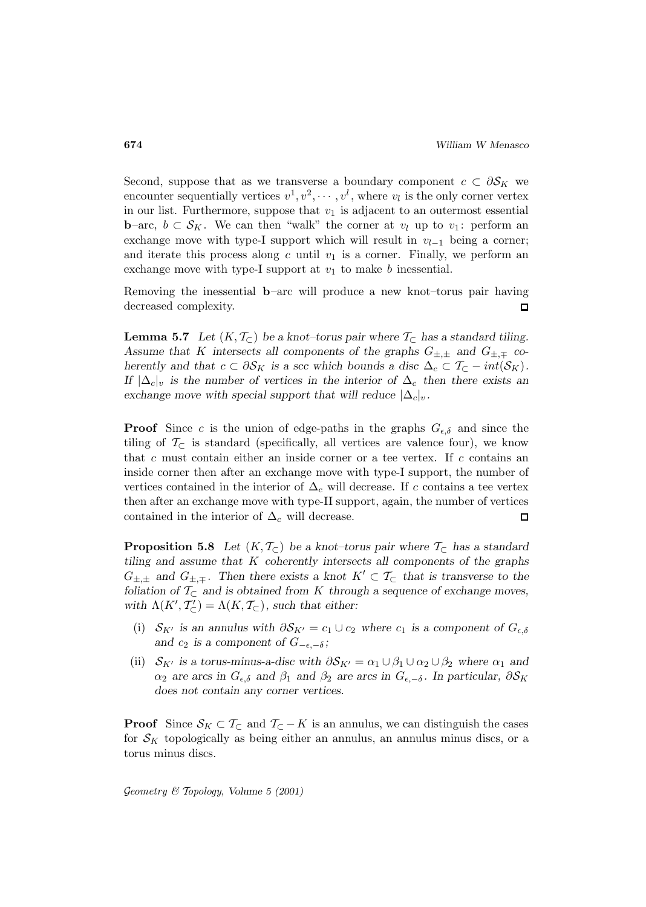Second, suppose that as we transverse a boundary component  $c \subset \partial S_K$  we encounter sequentially vertices  $v^1, v^2, \cdots, v^l$ , where  $v_l$  is the only corner vertex in our list. Furthermore, suppose that  $v_1$  is adjacent to an outermost essential **b**–arc,  $b \subset S_K$ . We can then "walk" the corner at  $v_l$  up to  $v_1$ : perform an exchange move with type-I support which will result in  $v_{l-1}$  being a corner; and iterate this process along c until  $v_1$  is a corner. Finally, we perform an exchange move with type-I support at  $v_1$  to make b inessential.

Removing the inessential **b**–arc will produce a new knot–torus pair having decreased complexity.  $\Box$ 

**Lemma 5.7** *Let*  $(K, \mathcal{T}_{\subset})$  *be a knot–torus pair where*  $\mathcal{T}_{\subset}$  *has a standard tiling.* Assume that K intersects all components of the graphs  $G_{\pm,\pm}$  and  $G_{\pm,\mp}$  co*herently and that*  $c \subset \partial S_K$  *is a scc which bounds a disc*  $\Delta_c \subset \mathcal{T}_\subset -int(\mathcal{S}_K)$ *. If*  $|\Delta_c|_v$  *is the number of vertices in the interior of*  $\Delta_c$  *then there exists an exchange move with special support that will reduce*  $|\Delta_c|_v$ .

**Proof** Since c is the union of edge-paths in the graphs  $G_{\epsilon,\delta}$  and since the tiling of  $\mathcal{T}_{\subset}$  is standard (specifically, all vertices are valence four), we know that c must contain either an inside corner or a tee vertex. If c contains an inside corner then after an exchange move with type-I support, the number of vertices contained in the interior of  $\Delta_c$  will decrease. If c contains a tee vertex then after an exchange move with type-II support, again, the number of vertices contained in the interior of  $\Delta_c$  will decrease.  $\Box$ 

**Proposition 5.8** *Let*  $(K, \mathcal{T}_{\subset})$  *be a knot–torus pair where*  $\mathcal{T}_{\subset}$  *has a standard tiling and assume that* K *coherently intersects all components of the graphs*  $G_{\pm,\pm}$  and  $G_{\pm,\mp}$ . Then there exists a knot  $K' \subset \mathcal{T}_{\subset}$  that is transverse to the *foliation of*  $\mathcal{T}_{\subset}$  *and is obtained from* K *through a sequence of exchange moves,* with  $\Lambda(K', \mathcal{T}'_{\subset}) = \Lambda(K, \mathcal{T}_{\subset})$ , such that either:

- (i)  $S_{K'}$  *is an annulus with*  $\partial S_{K'} = c_1 \cup c_2$  *where*  $c_1$  *is a component of*  $G_{\epsilon,\delta}$ and  $c_2$  *is a component of*  $G_{-\epsilon,-\delta}$ *;*
- (ii)  $S_{K'}$  *is a torus-minus-a-disc with*  $\partial S_{K'} = \alpha_1 \cup \beta_1 \cup \alpha_2 \cup \beta_2$  *where*  $\alpha_1$  *and*  $\alpha_2$  are arcs in  $G_{\epsilon,\delta}$  and  $\beta_1$  and  $\beta_2$  are arcs in  $G_{\epsilon,-\delta}$ . In particular,  $\partial S_K$ *does not contain any corner vertices.*

**Proof** Since  $S_K \subset T_{\subset}$  and  $T_{\subset} - K$  is an annulus, we can distinguish the cases for  $\mathcal{S}_K$  topologically as being either an annulus, an annulus minus discs, or a torus minus discs.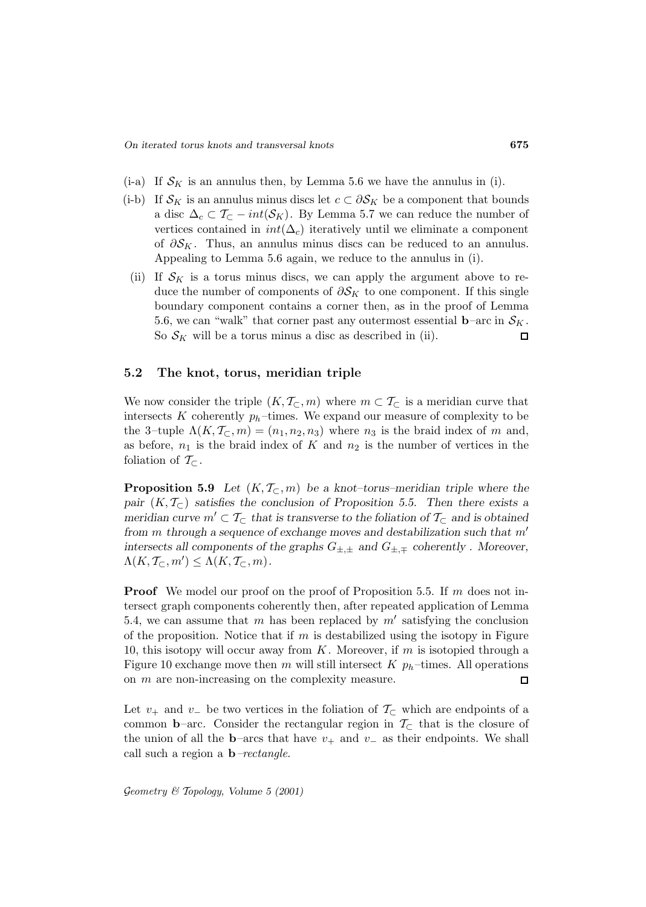- $(i-a)$  If  $\mathcal{S}_K$  is an annulus then, by Lemma 5.6 we have the annulus in (i).
- (i-b) If  $\mathcal{S}_K$  is an annulus minus discs let  $c \subset \partial \mathcal{S}_K$  be a component that bounds a disc  $\Delta_c \subset \mathcal{T}_\subset -int(\mathcal{S}_K)$ . By Lemma 5.7 we can reduce the number of vertices contained in  $int(\Delta_c)$  iteratively until we eliminate a component of  $\partial S_K$ . Thus, an annulus minus discs can be reduced to an annulus. Appealing to Lemma 5.6 again, we reduce to the annulus in (i).
- (ii) If  $\mathcal{S}_K$  is a torus minus discs, we can apply the argument above to reduce the number of components of  $\partial S_K$  to one component. If this single boundary component contains a corner then, as in the proof of Lemma 5.6, we can "walk" that corner past any outermost essential  $\mathbf{b}$ –arc in  $\mathcal{S}_K$ . So  $S_K$  will be a torus minus a disc as described in (ii).  $\Box$

#### **5.2 The knot, torus, meridian triple**

We now consider the triple  $(K, \mathcal{T}_{\subset}, m)$  where  $m \subset \mathcal{T}_{\subset}$  is a meridian curve that intersects K coherently  $p_h$ -times. We expand our measure of complexity to be the 3–tuple  $\Lambda(K, \mathcal{T}_{\subset}, m)=(n_1, n_2, n_3)$  where  $n_3$  is the braid index of m and, as before,  $n_1$  is the braid index of K and  $n_2$  is the number of vertices in the foliation of  $\mathcal{T}_{\subset}$ .

**Proposition 5.9** *Let*  $(K, \mathcal{T}_{\subset}, m)$  *be a knot–torus–meridian triple where the pair*  $(K, \mathcal{T}_\subset)$  *satisfies the conclusion of Proposition 5.5. Then there exists a meridian curve*  $m' \subset T_{\subset}$  *that is transverse to the foliation of*  $T_{\subset}$  *and is obtained from m* through a sequence of exchange moves and destabilization such that m' *intersects all components of the graphs* G±,<sup>±</sup> *and* G±,<sup>∓</sup> *coherently . Moreover,*  $\Lambda(K, \mathcal{T}_{\subset}, m') \leq \Lambda(K, \mathcal{T}_{\subset}, m)$ .

**Proof** We model our proof on the proof of Proposition 5.5. If m does not intersect graph components coherently then, after repeated application of Lemma 5.4, we can assume that m has been replaced by  $m'$  satisfying the conclusion of the proposition. Notice that if  $m$  is destabilized using the isotopy in Figure 10, this isotopy will occur away from  $K$ . Moreover, if  $m$  is isotopied through a Figure 10 exchange move then m will still intersect K  $p_h$ -times. All operations on m are non-increasing on the complexity measure.  $\Box$ 

Let  $v_+$  and  $v_-\,$  be two vertices in the foliation of  $\mathcal{T}_{\subset}$  which are endpoints of a common **b**–arc. Consider the rectangular region in  $\mathcal{T}_{\subset}$  that is the closure of the union of all the **b**–arcs that have  $v_+$  and  $v_-$  as their endpoints. We shall call such a region a **b**–rectangle.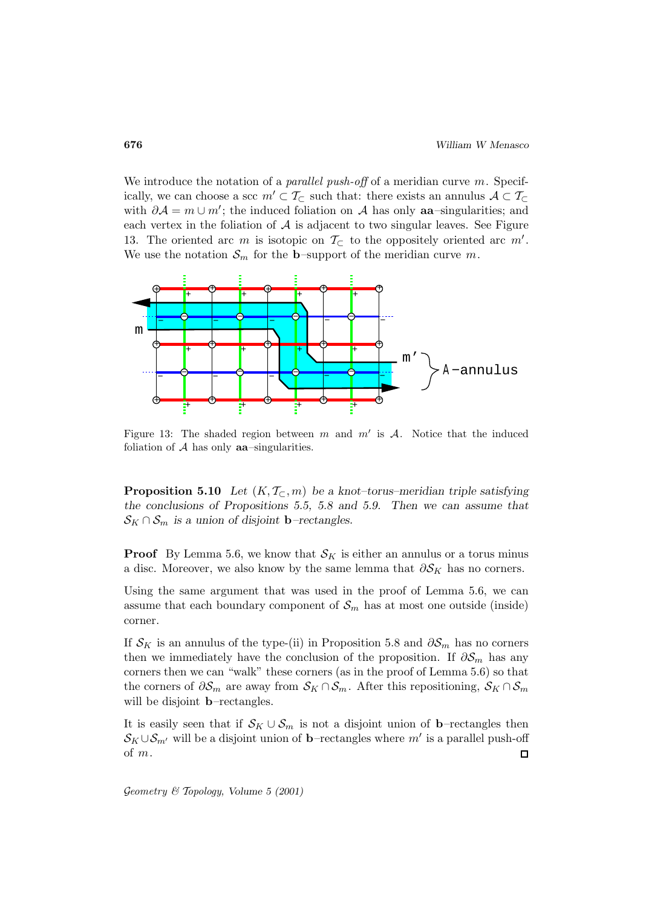We introduce the notation of a *parallel push-off* of a meridian curve  $m$ . Specifically, we can choose a scc  $m' \subset \mathcal{T}_{\subset}$  such that: there exists an annulus  $\mathcal{A} \subset \mathcal{T}_{\subset}$ with  $\partial A = m \cup m'$ ; the induced foliation on A has only **aa**-singularities; and each vertex in the foliation of  $A$  is adjacent to two singular leaves. See Figure 13. The oriented arc m is isotopic on  $\mathcal{T}_{\subset}$  to the oppositely oriented arc m'. We use the notation  $\mathcal{S}_m$  for the **b**–support of the meridian curve m.



Figure 13: The shaded region between m and  $m'$  is A. Notice that the induced foliation of A has only **aa**–singularities.

**Proposition 5.10** *Let*  $(K, \mathcal{T}_{\subset}, m)$  *be a knot–torus–meridian triple satisfying the conclusions of Propositions 5.5, 5.8 and 5.9. Then we can assume that*  $\mathcal{S}_K \cap \mathcal{S}_m$  is a union of disjoint **b**–rectangles.

**Proof** By Lemma 5.6, we know that  $\mathcal{S}_K$  is either an annulus or a torus minus a disc. Moreover, we also know by the same lemma that  $\partial S_K$  has no corners.

Using the same argument that was used in the proof of Lemma 5.6, we can assume that each boundary component of  $\mathcal{S}_m$  has at most one outside (inside) corner.

If  $S_K$  is an annulus of the type-(ii) in Proposition 5.8 and  $\partial S_m$  has no corners then we immediately have the conclusion of the proposition. If  $\partial S_m$  has any corners then we can "walk" these corners (as in the proof of Lemma 5.6) so that the corners of  $\partial S_m$  are away from  $S_K \cap S_m$ . After this repositioning,  $S_K \cap S_m$ will be disjoint **b**–rectangles.

It is easily seen that if  $S_K \cup S_m$  is not a disjoint union of **b**–rectangles then  $\mathcal{S}_K \cup \mathcal{S}_{m'}$  will be a disjoint union of **b**–rectangles where m' is a parallel push-off of m.  $\Box$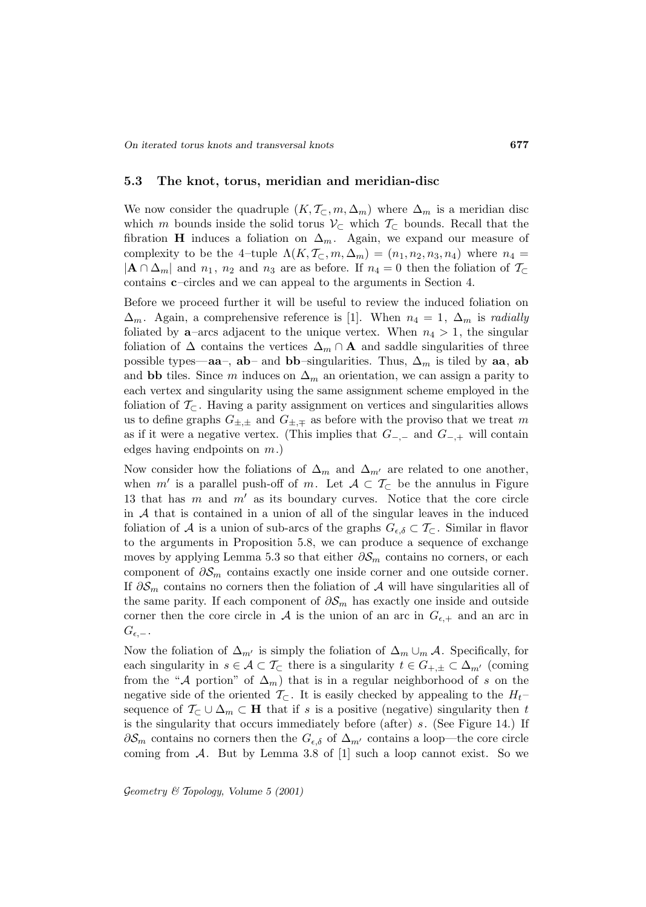#### **5.3 The knot, torus, meridian and meridian-disc**

We now consider the quadruple  $(K, \mathcal{T}_{\subset}, m, \Delta_m)$  where  $\Delta_m$  is a meridian disc which m bounds inside the solid torus  $\mathcal{V}_{\subset}$  which  $\mathcal{T}_{\subset}$  bounds. Recall that the fibration **H** induces a foliation on  $\Delta_m$ . Again, we expand our measure of complexity to be the 4–tuple  $\Lambda(K, \mathcal{T}_{\subset}, m, \Delta_m) = (n_1, n_2, n_3, n_4)$  where  $n_4 =$  $|\mathbf{A} \cap \Delta_m|$  and  $n_1$ ,  $n_2$  and  $n_3$  are as before. If  $n_4 = 0$  then the foliation of  $\mathcal{T}_\subset$ contains **c**–circles and we can appeal to the arguments in Section 4.

Before we proceed further it will be useful to review the induced foliation on  $\Delta_m$ . Again, a comprehensive reference is [1]. When  $n_4 = 1$ ,  $\Delta_m$  is radially foliated by **a**–arcs adjacent to the unique vertex. When  $n_4 > 1$ , the singular foliation of  $\Delta$  contains the vertices  $\Delta_m \cap \mathbf{A}$  and saddle singularities of three possible types—**aa**–, **ab**– and **bb**–singularities. Thus,  $\Delta_m$  is tiled by **aa**, **ab** and **bb** tiles. Since m induces on  $\Delta_m$  an orientation, we can assign a parity to each vertex and singularity using the same assignment scheme employed in the foliation of  $\mathcal{T}_{\subset}$ . Having a parity assignment on vertices and singularities allows us to define graphs  $G_{\pm,\pm}$  and  $G_{\pm,\mp}$  as before with the proviso that we treat m as if it were a negative vertex. (This implies that  $G_{-,-}$  and  $G_{-,+}$  will contain edges having endpoints on m.)

Now consider how the foliations of  $\Delta_m$  and  $\Delta_{m'}$  are related to one another, when m' is a parallel push-off of m. Let  $A\subset \mathcal{T}_{\subset}$  be the annulus in Figure 13 that has  $m$  and  $m'$  as its boundary curves. Notice that the core circle in  $A$  that is contained in a union of all of the singular leaves in the induced foliation of A is a union of sub-arcs of the graphs  $G_{\epsilon,\delta} \subset \mathcal{T}_{\subset}$ . Similar in flavor to the arguments in Proposition 5.8, we can produce a sequence of exchange moves by applying Lemma 5.3 so that either  $\partial S_m$  contains no corners, or each component of  $\partial \mathcal{S}_m$  contains exactly one inside corner and one outside corner. If  $\partial \mathcal{S}_m$  contains no corners then the foliation of A will have singularities all of the same parity. If each component of  $\partial S_m$  has exactly one inside and outside corner then the core circle in A is the union of an arc in  $G_{\epsilon,+}$  and an arc in  $G_{\epsilon,-}$ .

Now the foliation of  $\Delta_{m'}$  is simply the foliation of  $\Delta_m \cup_m \mathcal{A}$ . Specifically, for each singularity in  $s \in \mathcal{A} \subset \mathcal{T}_{\subset}$  there is a singularity  $t \in G_{+, \pm} \subset \Delta_{m'}$  (coming from the "A portion" of  $\Delta_m$ ) that is in a regular neighborhood of s on the negative side of the oriented  $\mathcal{T}_{\subset}$ . It is easily checked by appealing to the  $H_t$ sequence of  $\mathcal{T}_{\subset} \cup \Delta_m \subset \mathbf{H}$  that if s is a positive (negative) singularity then t is the singularity that occurs immediately before (after) s. (See Figure 14.) If  $\partial S_m$  contains no corners then the  $G_{\epsilon,\delta}$  of  $\Delta_{m'}$  contains a loop—the core circle coming from  $A$ . But by Lemma 3.8 of  $[1]$  such a loop cannot exist. So we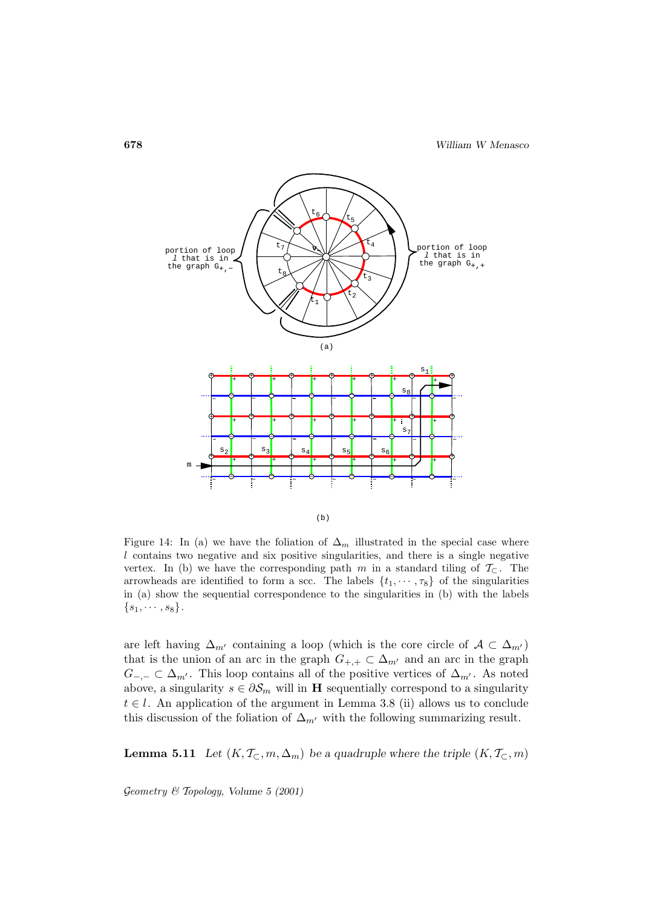

Figure 14: In (a) we have the foliation of  $\Delta_m$  illustrated in the special case where  $l$  contains two negative and six positive singularities, and there is a single negative vertex. In (b) we have the corresponding path m in a standard tiling of  $\mathcal{T}_{\subset}$ . The arrowheads are identified to form a scc. The labels  $\{t_1, \dots, \tau_8\}$  of the singularities in (a) show the sequential correspondence to the singularities in (b) with the labels  ${s_1, \cdots, s_8}.$ 

are left having  $\Delta_{m'}$  containing a loop (which is the core circle of  $\mathcal{A} \subset \Delta_{m'}$ ) that is the union of an arc in the graph  $G_{+,+} \subset \Delta_{m'}$  and an arc in the graph  $G_{-,-} \subset \Delta_{m'}$ . This loop contains all of the positive vertices of  $\Delta_{m'}$ . As noted above, a singularity  $s \in \partial S_m$  will in **H** sequentially correspond to a singularity  $t \in l$ . An application of the argument in Lemma 3.8 (ii) allows us to conclude this discussion of the foliation of  $\Delta_{m'}$  with the following summarizing result.

**Lemma 5.11** *Let*  $(K, \mathcal{T}_{\subset}, m, \Delta_m)$  *be a quadruple where the triple*  $(K, \mathcal{T}_{\subset}, m)$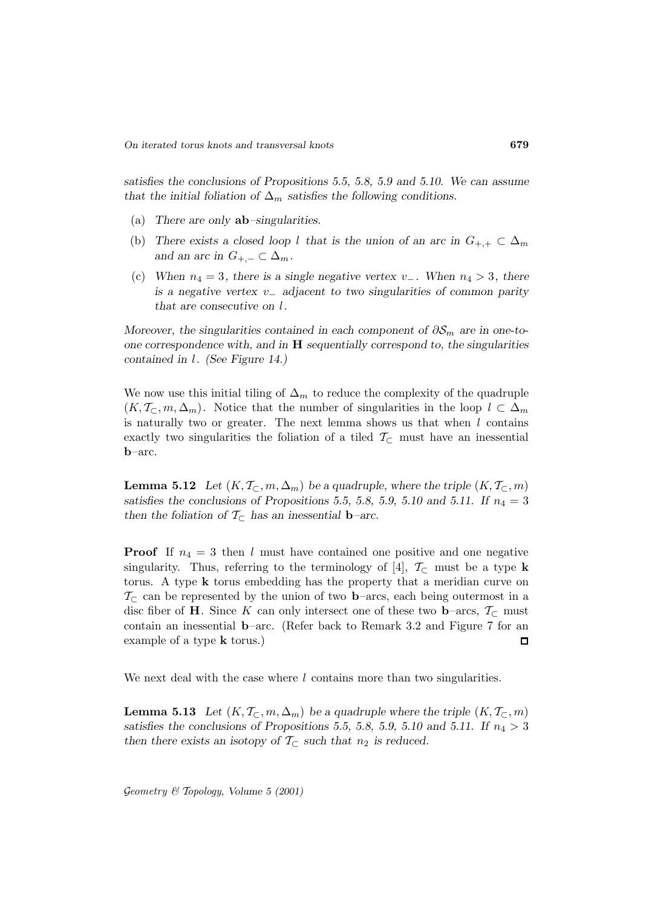*satisfies the conclusions of Propositions 5.5, 5.8, 5.9 and 5.10. We can assume that the initial foliation of*  $\Delta_m$  *satisfies the following conditions.* 

- (a) *There are only* **ab***–singularities.*
- (b) There exists a closed loop l that is the union of an arc in  $G_{+,+} \subset \Delta_m$ *and an arc in*  $G_{+,-} \subset \Delta_m$ *.*
- (c) *When*  $n_4 = 3$ *, there is a single negative vertex*  $v_$ . *When*  $n_4 > 3$ *, there is a negative vertex* v<sup>−</sup> *adjacent to two singularities of common parity that are consecutive on* l*.*

*Moreover, the singularities contained in each component of*  $\partial S_m$  *are in one-toone correspondence with, and in* **H** *sequentially correspond to, the singularities contained in* l*. (See Figure 14.)*

We now use this initial tiling of  $\Delta_m$  to reduce the complexity of the quadruple  $(K, \mathcal{T}_{\subset}, m, \Delta_m)$ . Notice that the number of singularities in the loop  $l \subset \Delta_m$ is naturally two or greater. The next lemma shows us that when  $l$  contains exactly two singularities the foliation of a tiled  $\mathcal{T}_{\subset}$  must have an inessential **b**–arc.

**Lemma 5.12** *Let*  $(K, \mathcal{T}_{\subset}, m, \Delta_m)$  *be a quadruple, where the triple*  $(K, \mathcal{T}_{\subset}, m)$ satisfies the conclusions of Propositions 5.5, 5.8, 5.9, 5.10 and 5.11. If  $n_4 = 3$ *then the foliation of*  $\mathcal{T}_{\subset}$  *has an inessential* **b**–*arc.* 

**Proof** If  $n_4 = 3$  then l must have contained one positive and one negative singularity. Thus, referring to the terminology of [4],  $\mathcal{T}_{\subset}$  must be a type **k** torus. A type **k** torus embedding has the property that a meridian curve on  $\mathcal{T}_{\subset}$  can be represented by the union of two **b**–arcs, each being outermost in a disc fiber of **H**. Since K can only intersect one of these two **b**–arcs,  $\mathcal{T}_{\subset}$  must contain an inessential **b**–arc. (Refer back to Remark 3.2 and Figure 7 for an example of a type **k** torus.)  $\square$ 

We next deal with the case where  $l$  contains more than two singularities.

**Lemma 5.13** Let  $(K, \mathcal{T}_{\subset}, m, \Delta_m)$  be a quadruple where the triple  $(K, \mathcal{T}_{\subset}, m)$ satisfies the conclusions of Propositions 5.5, 5.8, 5.9, 5.10 and 5.11. If  $n_4 > 3$ *then there exists an isotopy of*  $\mathcal{T}_{\subset}$  *such that*  $n_2$  *is reduced.*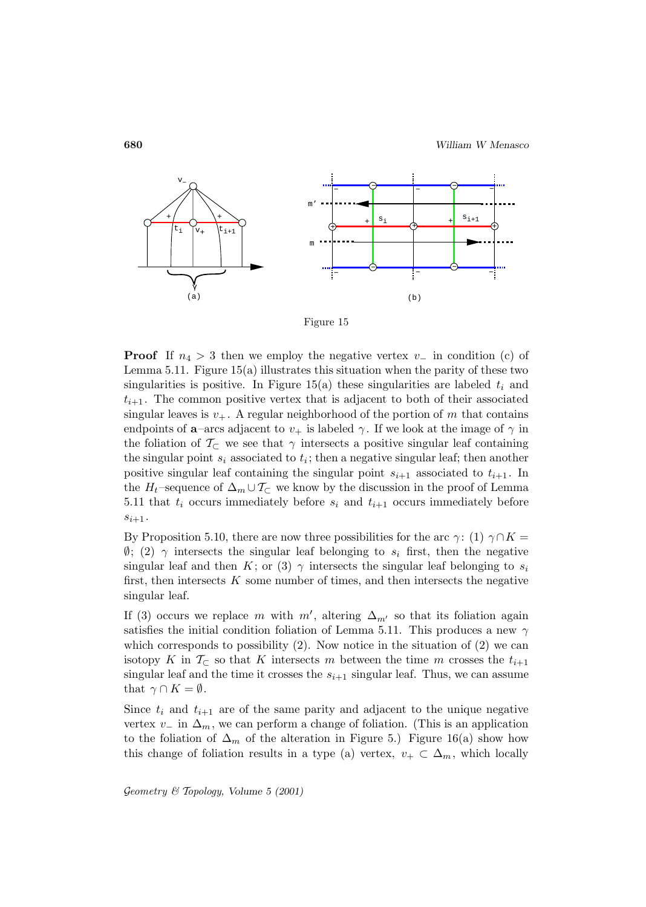

Figure 15

**Proof** If  $n_4 > 3$  then we employ the negative vertex  $v_$  in condition (c) of Lemma 5.11. Figure 15(a) illustrates this situation when the parity of these two singularities is positive. In Figure 15(a) these singularities are labeled  $t_i$  and  $t_{i+1}$ . The common positive vertex that is adjacent to both of their associated singular leaves is  $v_+$ . A regular neighborhood of the portion of m that contains endpoints of **a**–arcs adjacent to  $v_+$  is labeled  $\gamma$ . If we look at the image of  $\gamma$  in the foliation of  $\mathcal{T}_{\subset}$  we see that  $\gamma$  intersects a positive singular leaf containing the singular point  $s_i$  associated to  $t_i$ ; then a negative singular leaf; then another positive singular leaf containing the singular point  $s_{i+1}$  associated to  $t_{i+1}$ . In the  $H_t$ –sequence of  $\Delta_m \cup \mathcal{T}_\subset \mathbb{C}$  we know by the discussion in the proof of Lemma 5.11 that  $t_i$  occurs immediately before  $s_i$  and  $t_{i+1}$  occurs immediately before  $s_{i+1}$ .

By Proposition 5.10, there are now three possibilities for the arc  $\gamma$ : (1)  $\gamma \cap K =$  $\emptyset$ ; (2)  $\gamma$  intersects the singular leaf belonging to  $s_i$  first, then the negative singular leaf and then K; or (3)  $\gamma$  intersects the singular leaf belonging to  $s_i$ first, then intersects  $K$  some number of times, and then intersects the negative singular leaf.

If (3) occurs we replace m with  $m'$ , altering  $\Delta_{m'}$  so that its foliation again satisfies the initial condition foliation of Lemma 5.11. This produces a new  $\gamma$ which corresponds to possibility  $(2)$ . Now notice in the situation of  $(2)$  we can isotopy K in  $\mathcal{T}_{\subset}$  so that K intersects m between the time m crosses the  $t_{i+1}$ singular leaf and the time it crosses the  $s_{i+1}$  singular leaf. Thus, we can assume that  $\gamma \cap K = \emptyset$ .

Since  $t_i$  and  $t_{i+1}$  are of the same parity and adjacent to the unique negative vertex  $v_-\,$  in  $\Delta_m$ , we can perform a change of foliation. (This is an application to the foliation of  $\Delta_m$  of the alteration in Figure 5.) Figure 16(a) show how this change of foliation results in a type (a) vertex,  $v_+ \subset \Delta_m$ , which locally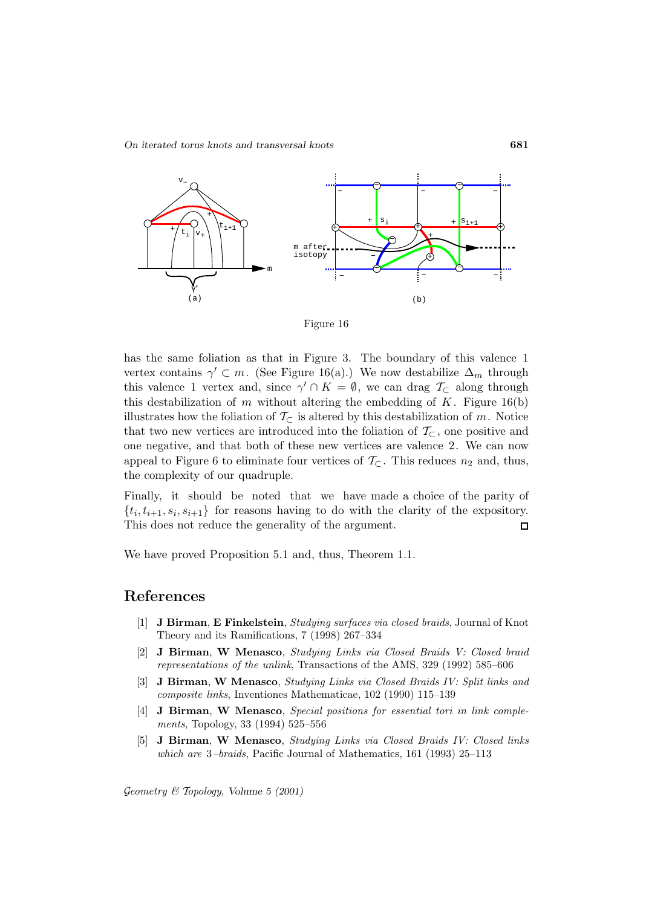



has the same foliation as that in Figure 3. The boundary of this valence 1 vertex contains  $\gamma' \subset m$ . (See Figure 16(a).) We now destabilize  $\Delta_m$  through this valence 1 vertex and, since  $\gamma' \cap K = \emptyset$ , we can drag  $\mathcal{T}_{\subset}$  along through this destabilization of m without altering the embedding of  $K$ . Figure 16(b) illustrates how the foliation of  $\mathcal{T}_{\subset}$  is altered by this destabilization of m. Notice that two new vertices are introduced into the foliation of  $\mathcal{T}_{\subset}$ , one positive and one negative, and that both of these new vertices are valence 2. We can now appeal to Figure 6 to eliminate four vertices of  $\mathcal{T}_{\subset}$ . This reduces  $n_2$  and, thus, the complexity of our quadruple.

Finally, it should be noted that we have made a choice of the parity of  $\{t_i, t_{i+1}, s_i, s_{i+1}\}\$  for reasons having to do with the clarity of the expository. This does not reduce the generality of the argument.  $\Box$ 

We have proved Proposition 5.1 and, thus, Theorem 1.1.

### **References**

- [1] **J Birman**, **E Finkelstein**, Studying surfaces via closed braids, Journal of Knot Theory and its Ramifications, 7 (1998) 267–334
- [2] **J Birman**, **W Menasco**, Studying Links via Closed Braids V: Closed braid representations of the unlink, Transactions of the AMS, 329 (1992) 585–606
- [3] **J Birman**, **W Menasco**, Studying Links via Closed Braids IV: Split links and composite links, Inventiones Mathematicae, 102 (1990) 115–139
- [4] **J Birman**, **W Menasco**, Special positions for essential tori in link complements, Topology, 33 (1994) 525–556
- [5] **J Birman**, **W Menasco**, Studying Links via Closed Braids IV: Closed links which are 3–braids, Pacific Journal of Mathematics, 161 (1993) 25–113